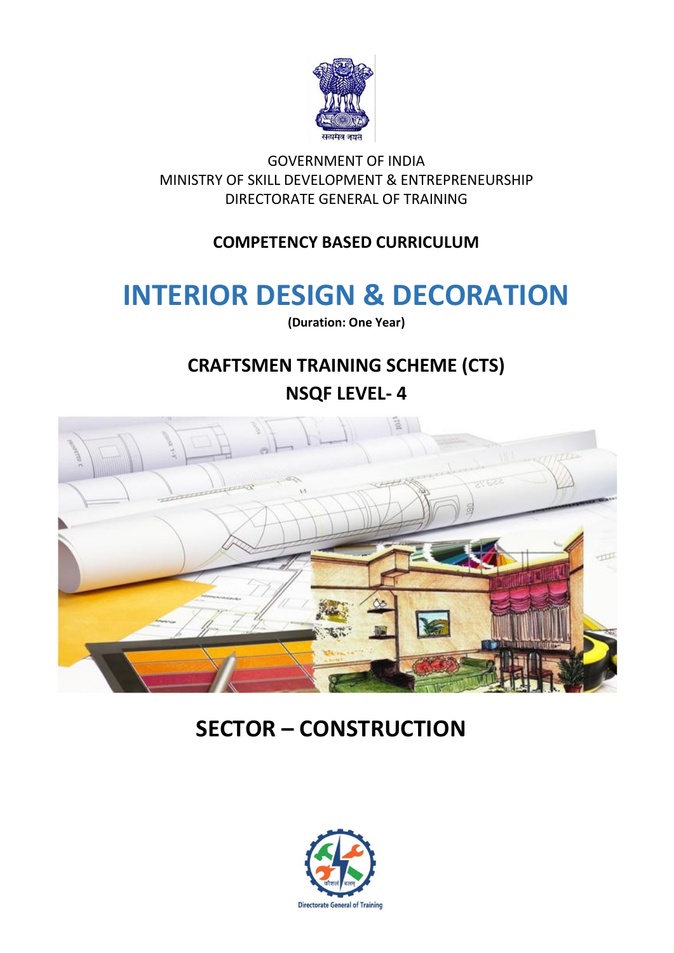

GOVERNMENT OF INDIA MINISTRY OF SKILL DEVELOPMENT & ENTREPRENEURSHIP DIRECTORATE GENERAL OF TRAINING

## **COMPETENCY BASED CURRICULUM**

# **INTERIOR DESIGN & DECORATION**

**(Duration: One Year)**

# **CRAFTSMEN TRAINING SCHEME (CTS) NSQF LEVEL- 4**



# **SECTOR – CONSTRUCTION**

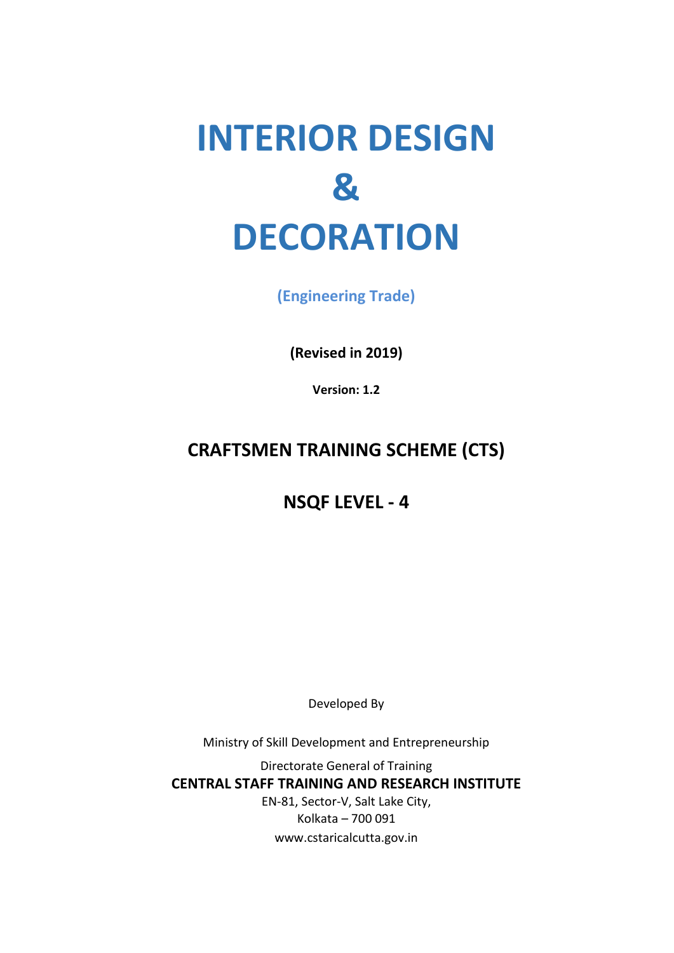# **INTERIOR DESIGN & DECORATION**

**(Engineering Trade)**

**(Revised in 2019)**

**Version: 1.2**

# **CRAFTSMEN TRAINING SCHEME (CTS)**

# **NSQF LEVEL - 4**

Developed By

Ministry of Skill Development and Entrepreneurship

Directorate General of Training **CENTRAL STAFF TRAINING AND RESEARCH INSTITUTE** EN-81, Sector-V, Salt Lake City, Kolkata – 700 091 www.cstaricalcutta.gov.in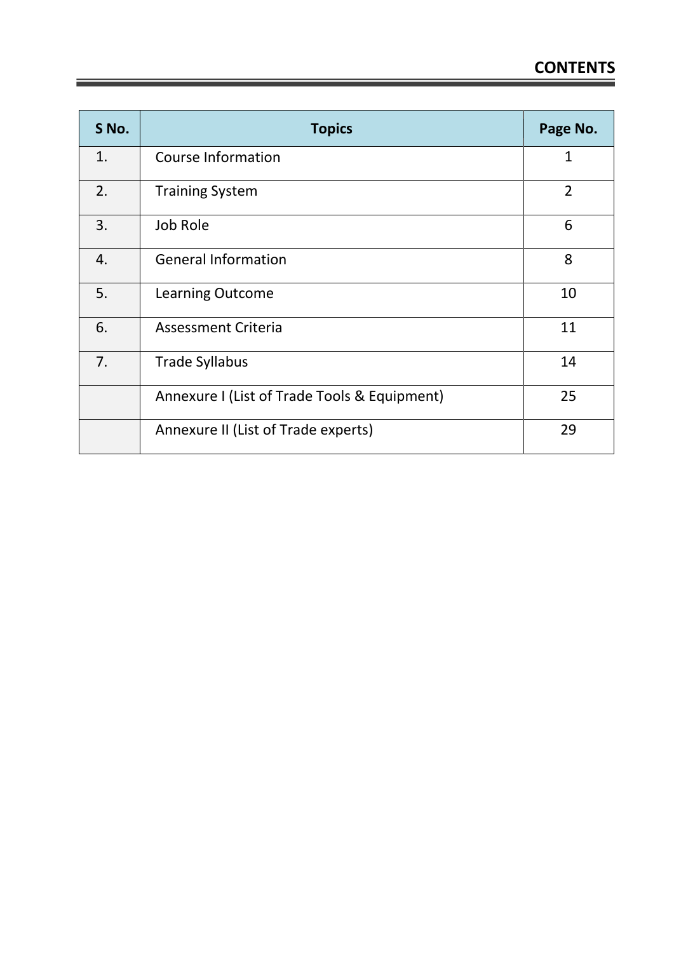| S No. | <b>Topics</b>                                | Page No.       |
|-------|----------------------------------------------|----------------|
| 1.    | Course Information                           | 1              |
| 2.    | <b>Training System</b>                       | $\overline{2}$ |
| 3.    | Job Role                                     | 6              |
| 4.    | <b>General Information</b>                   | 8              |
| 5.    | <b>Learning Outcome</b>                      | 10             |
| 6.    | <b>Assessment Criteria</b>                   | 11             |
| 7.    | <b>Trade Syllabus</b>                        | 14             |
|       | Annexure I (List of Trade Tools & Equipment) | 25             |
|       | Annexure II (List of Trade experts)          | 29             |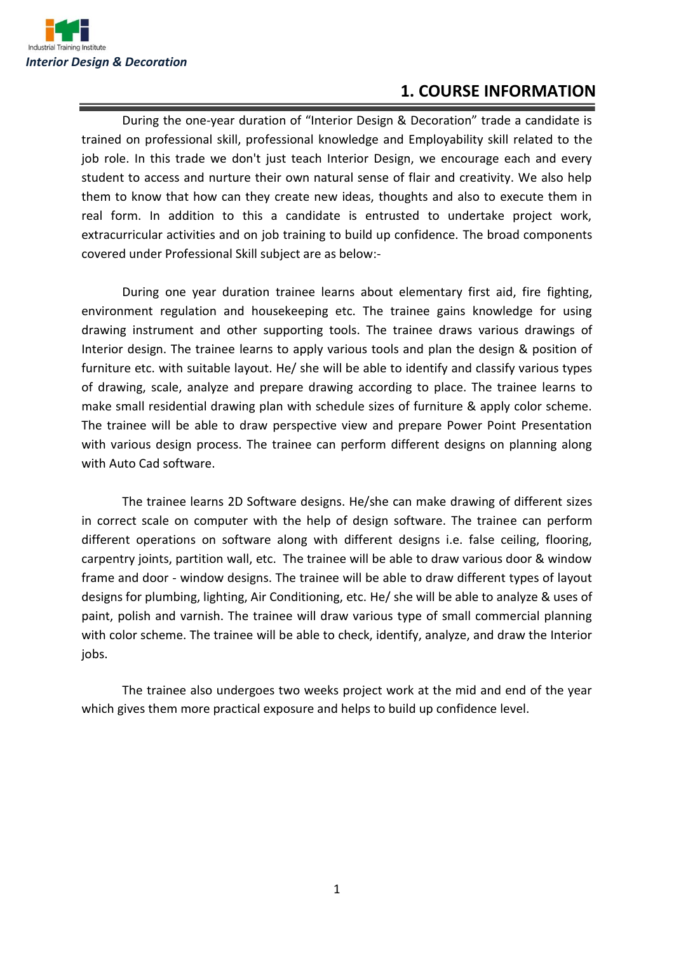

#### **1. COURSE INFORMATION**

During the one-year duration of "Interior Design & Decoration" trade a candidate is trained on professional skill, professional knowledge and Employability skill related to the job role. In this trade we don't just teach Interior Design, we encourage each and every student to access and nurture their own natural sense of flair and creativity. We also help them to know that how can they create new ideas, thoughts and also to execute them in real form. In addition to this a candidate is entrusted to undertake project work, extracurricular activities and on job training to build up confidence. The broad components covered under Professional Skill subject are as below:-

During one year duration trainee learns about elementary first aid, fire fighting, environment regulation and housekeeping etc. The trainee gains knowledge for using drawing instrument and other supporting tools. The trainee draws various drawings of Interior design. The trainee learns to apply various tools and plan the design & position of furniture etc. with suitable layout. He/ she will be able to identify and classify various types of drawing, scale, analyze and prepare drawing according to place. The trainee learns to make small residential drawing plan with schedule sizes of furniture & apply color scheme. The trainee will be able to draw perspective view and prepare Power Point Presentation with various design process. The trainee can perform different designs on planning along with Auto Cad software.

The trainee learns 2D Software designs. He/she can make drawing of different sizes in correct scale on computer with the help of design software. The trainee can perform different operations on software along with different designs i.e. false ceiling, flooring, carpentry joints, partition wall, etc. The trainee will be able to draw various door & window frame and door - window designs. The trainee will be able to draw different types of layout designs for plumbing, lighting, Air Conditioning, etc. He/ she will be able to analyze & uses of paint, polish and varnish. The trainee will draw various type of small commercial planning with color scheme. The trainee will be able to check, identify, analyze, and draw the Interior jobs.

The trainee also undergoes two weeks project work at the mid and end of the year which gives them more practical exposure and helps to build up confidence level.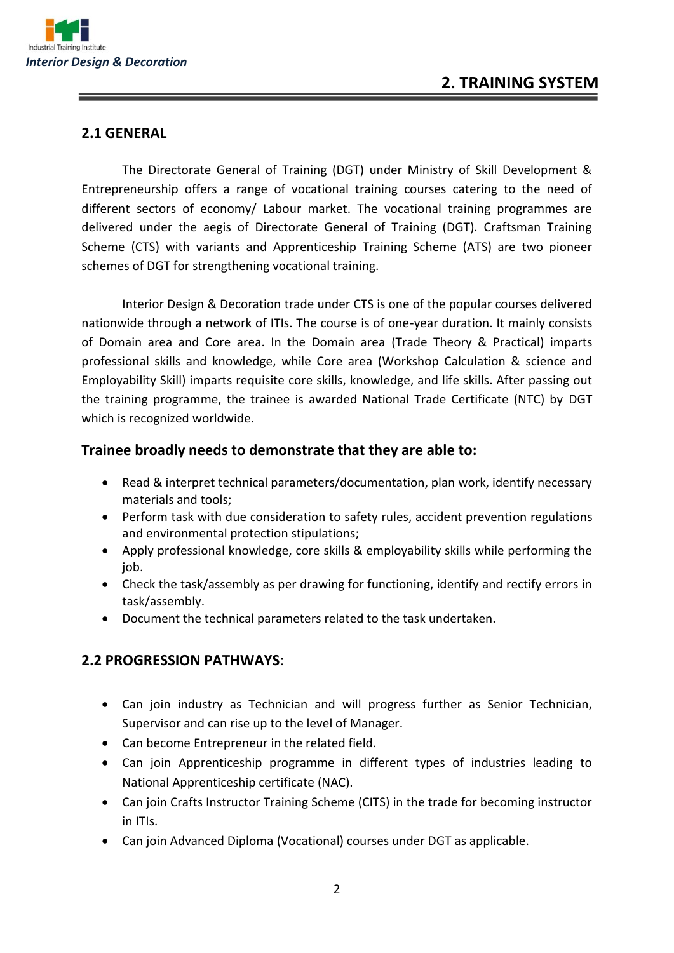

#### **2.1 GENERAL**

The Directorate General of Training (DGT) under Ministry of Skill Development & Entrepreneurship offers a range of vocational training courses catering to the need of different sectors of economy/ Labour market. The vocational training programmes are delivered under the aegis of Directorate General of Training (DGT). Craftsman Training Scheme (CTS) with variants and Apprenticeship Training Scheme (ATS) are two pioneer schemes of DGT for strengthening vocational training.

Interior Design & Decoration trade under CTS is one of the popular courses delivered nationwide through a network of ITIs. The course is of one-year duration. It mainly consists of Domain area and Core area. In the Domain area (Trade Theory & Practical) imparts professional skills and knowledge, while Core area (Workshop Calculation & science and Employability Skill) imparts requisite core skills, knowledge, and life skills. After passing out the training programme, the trainee is awarded National Trade Certificate (NTC) by DGT which is recognized worldwide.

#### **Trainee broadly needs to demonstrate that they are able to:**

- Read & interpret technical parameters/documentation, plan work, identify necessary materials and tools;
- Perform task with due consideration to safety rules, accident prevention regulations and environmental protection stipulations;
- Apply professional knowledge, core skills & employability skills while performing the job.
- Check the task/assembly as per drawing for functioning, identify and rectify errors in task/assembly.
- Document the technical parameters related to the task undertaken.

#### **2.2 PROGRESSION PATHWAYS**:

- Can join industry as Technician and will progress further as Senior Technician, Supervisor and can rise up to the level of Manager.
- Can become Entrepreneur in the related field.
- Can join Apprenticeship programme in different types of industries leading to National Apprenticeship certificate (NAC).
- Can join Crafts Instructor Training Scheme (CITS) in the trade for becoming instructor in ITIs.
- Can join Advanced Diploma (Vocational) courses under DGT as applicable.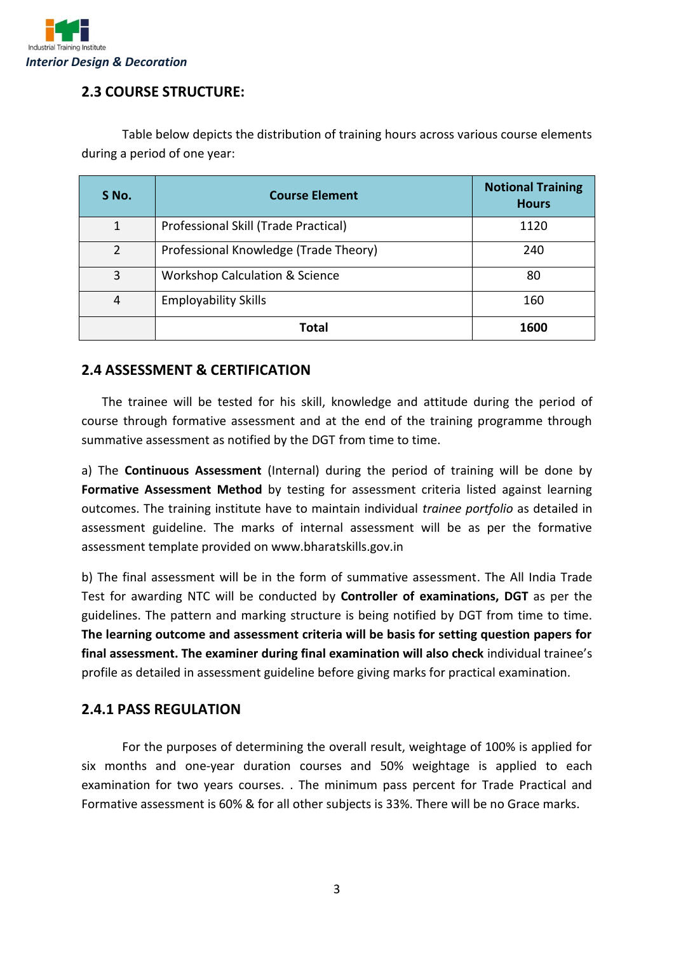

#### **2.3 COURSE STRUCTURE:**

| S No.          | <b>Course Element</b>                     | <b>Notional Training</b><br><b>Hours</b> |
|----------------|-------------------------------------------|------------------------------------------|
| 1              | Professional Skill (Trade Practical)      | 1120                                     |
| $\overline{2}$ | Professional Knowledge (Trade Theory)     | 240                                      |
| 3              | <b>Workshop Calculation &amp; Science</b> | 80                                       |
| 4              | <b>Employability Skills</b>               | 160                                      |
|                | Total                                     | 1600                                     |

Table below depicts the distribution of training hours across various course elements during a period of one year:

#### **2.4 ASSESSMENT & CERTIFICATION**

The trainee will be tested for his skill, knowledge and attitude during the period of course through formative assessment and at the end of the training programme through summative assessment as notified by the DGT from time to time.

a) The **Continuous Assessment** (Internal) during the period of training will be done by **Formative Assessment Method** by testing for assessment criteria listed against learning outcomes. The training institute have to maintain individual *trainee portfolio* as detailed in assessment guideline. The marks of internal assessment will be as per the formative assessment template provided on www.bharatskills.gov.in

b) The final assessment will be in the form of summative assessment. The All India Trade Test for awarding NTC will be conducted by **Controller of examinations, DGT** as per the guidelines. The pattern and marking structure is being notified by DGT from time to time. **The learning outcome and assessment criteria will be basis for setting question papers for final assessment. The examiner during final examination will also check** individual trainee's profile as detailed in assessment guideline before giving marks for practical examination.

#### **2.4.1 PASS REGULATION**

For the purposes of determining the overall result, weightage of 100% is applied for six months and one-year duration courses and 50% weightage is applied to each examination for two years courses. . The minimum pass percent for Trade Practical and Formative assessment is 60% & for all other subjects is 33%. There will be no Grace marks.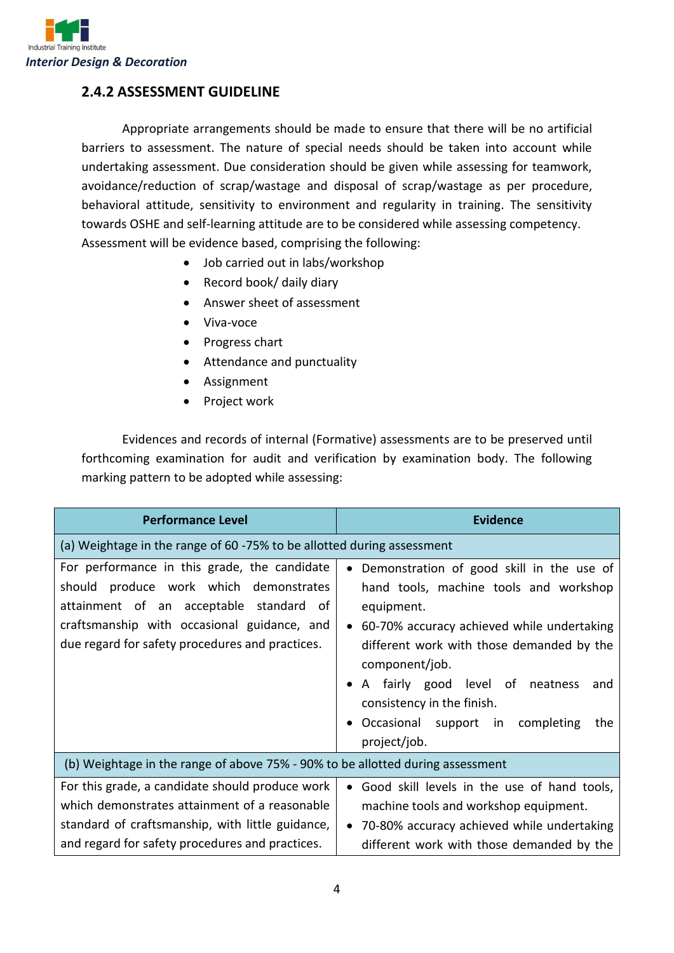

#### **2.4.2 ASSESSMENT GUIDELINE**

Appropriate arrangements should be made to ensure that there will be no artificial barriers to assessment. The nature of special needs should be taken into account while undertaking assessment. Due consideration should be given while assessing for teamwork, avoidance/reduction of scrap/wastage and disposal of scrap/wastage as per procedure, behavioral attitude, sensitivity to environment and regularity in training. The sensitivity towards OSHE and self-learning attitude are to be considered while assessing competency. Assessment will be evidence based, comprising the following:

- Job carried out in labs/workshop
- Record book/ daily diary
- Answer sheet of assessment
- Viva-voce
- Progress chart
- Attendance and punctuality
- Assignment
- Project work

Evidences and records of internal (Formative) assessments are to be preserved until forthcoming examination for audit and verification by examination body. The following marking pattern to be adopted while assessing:

| <b>Performance Level</b>                                                                                                                                                                                                            | <b>Evidence</b>                                                                                                                                                                                                                                                                                                                                                |  |  |
|-------------------------------------------------------------------------------------------------------------------------------------------------------------------------------------------------------------------------------------|----------------------------------------------------------------------------------------------------------------------------------------------------------------------------------------------------------------------------------------------------------------------------------------------------------------------------------------------------------------|--|--|
| (a) Weightage in the range of 60 -75% to be allotted during assessment                                                                                                                                                              |                                                                                                                                                                                                                                                                                                                                                                |  |  |
| For performance in this grade, the candidate<br>should produce work which demonstrates<br>attainment of an acceptable standard of<br>craftsmanship with occasional guidance, and<br>due regard for safety procedures and practices. | Demonstration of good skill in the use of<br>$\bullet$<br>hand tools, machine tools and workshop<br>equipment.<br>60-70% accuracy achieved while undertaking<br>different work with those demanded by the<br>component/job.<br>A fairly good level of neatness<br>and<br>consistency in the finish.<br>Occasional support in completing<br>the<br>project/job. |  |  |
| (b) Weightage in the range of above 75% - 90% to be allotted during assessment                                                                                                                                                      |                                                                                                                                                                                                                                                                                                                                                                |  |  |
| For this grade, a candidate should produce work<br>which demonstrates attainment of a reasonable<br>standard of craftsmanship, with little guidance,<br>and regard for safety procedures and practices.                             | Good skill levels in the use of hand tools,<br>$\bullet$<br>machine tools and workshop equipment.<br>70-80% accuracy achieved while undertaking<br>different work with those demanded by the                                                                                                                                                                   |  |  |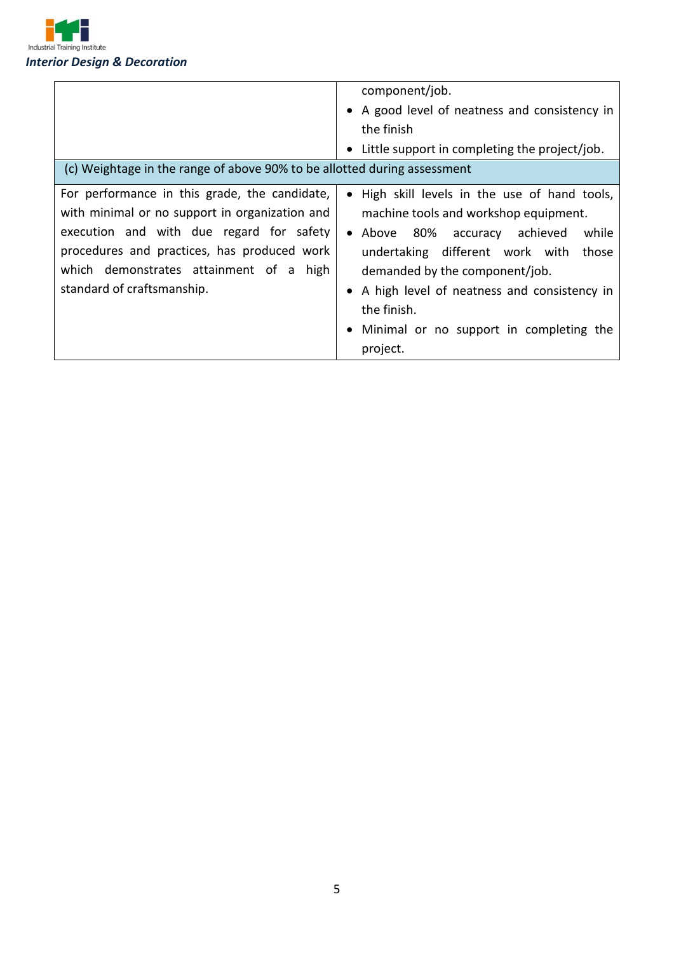

| (c) Weightage in the range of above 90% to be allotted during assessment                                                                                                                                                                                            | component/job.<br>• A good level of neatness and consistency in<br>the finish<br>• Little support in completing the project/job.                                                                                                                                                                                                      |
|---------------------------------------------------------------------------------------------------------------------------------------------------------------------------------------------------------------------------------------------------------------------|---------------------------------------------------------------------------------------------------------------------------------------------------------------------------------------------------------------------------------------------------------------------------------------------------------------------------------------|
| For performance in this grade, the candidate,<br>with minimal or no support in organization and<br>execution and with due regard for safety<br>procedures and practices, has produced work<br>which demonstrates attainment of a high<br>standard of craftsmanship. | • High skill levels in the use of hand tools,<br>machine tools and workshop equipment.<br>• Above 80% accuracy achieved<br>while<br>undertaking different work with<br>those<br>demanded by the component/job.<br>• A high level of neatness and consistency in<br>the finish.<br>Minimal or no support in completing the<br>project. |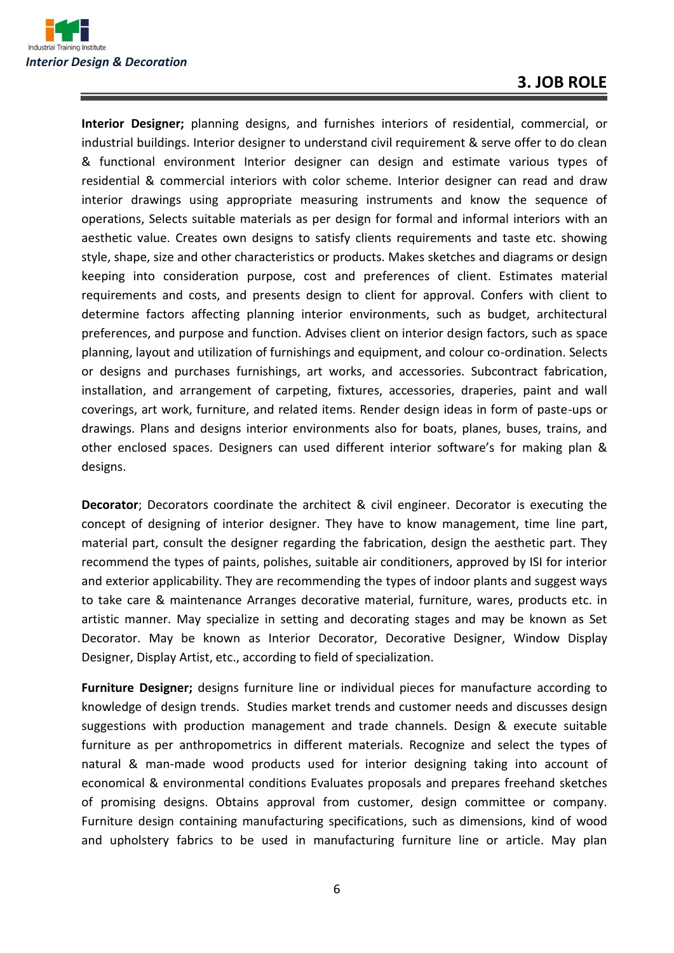

**Interior Designer;** planning designs, and furnishes interiors of residential, commercial, or industrial buildings. Interior designer to understand civil requirement & serve offer to do clean & functional environment Interior designer can design and estimate various types of residential & commercial interiors with color scheme. Interior designer can read and draw interior drawings using appropriate measuring instruments and know the sequence of operations, Selects suitable materials as per design for formal and informal interiors with an aesthetic value. Creates own designs to satisfy clients requirements and taste etc. showing style, shape, size and other characteristics or products. Makes sketches and diagrams or design keeping into consideration purpose, cost and preferences of client. Estimates material requirements and costs, and presents design to client for approval. Confers with client to determine factors affecting planning interior environments, such as budget, architectural preferences, and purpose and function. Advises client on interior design factors, such as space planning, layout and utilization of furnishings and equipment, and colour co-ordination. Selects or designs and purchases furnishings, art works, and accessories. Subcontract fabrication, installation, and arrangement of carpeting, fixtures, accessories, draperies, paint and wall coverings, art work, furniture, and related items. Render design ideas in form of paste-ups or drawings. Plans and designs interior environments also for boats, planes, buses, trains, and other enclosed spaces. Designers can used different interior software's for making plan & designs.

**Decorator**; Decorators coordinate the architect & civil engineer. Decorator is executing the concept of designing of interior designer. They have to know management, time line part, material part, consult the designer regarding the fabrication, design the aesthetic part. They recommend the types of paints, polishes, suitable air conditioners, approved by ISI for interior and exterior applicability. They are recommending the types of indoor plants and suggest ways to take care & maintenance Arranges decorative material, furniture, wares, products etc. in artistic manner. May specialize in setting and decorating stages and may be known as Set Decorator. May be known as Interior Decorator, Decorative Designer, Window Display Designer, Display Artist, etc., according to field of specialization.

**Furniture Designer;** designs furniture line or individual pieces for manufacture according to knowledge of design trends. Studies market trends and customer needs and discusses design suggestions with production management and trade channels. Design & execute suitable furniture as per anthropometrics in different materials. Recognize and select the types of natural & man-made wood products used for interior designing taking into account of economical & environmental conditions Evaluates proposals and prepares freehand sketches of promising designs. Obtains approval from customer, design committee or company. Furniture design containing manufacturing specifications, such as dimensions, kind of wood and upholstery fabrics to be used in manufacturing furniture line or article. May plan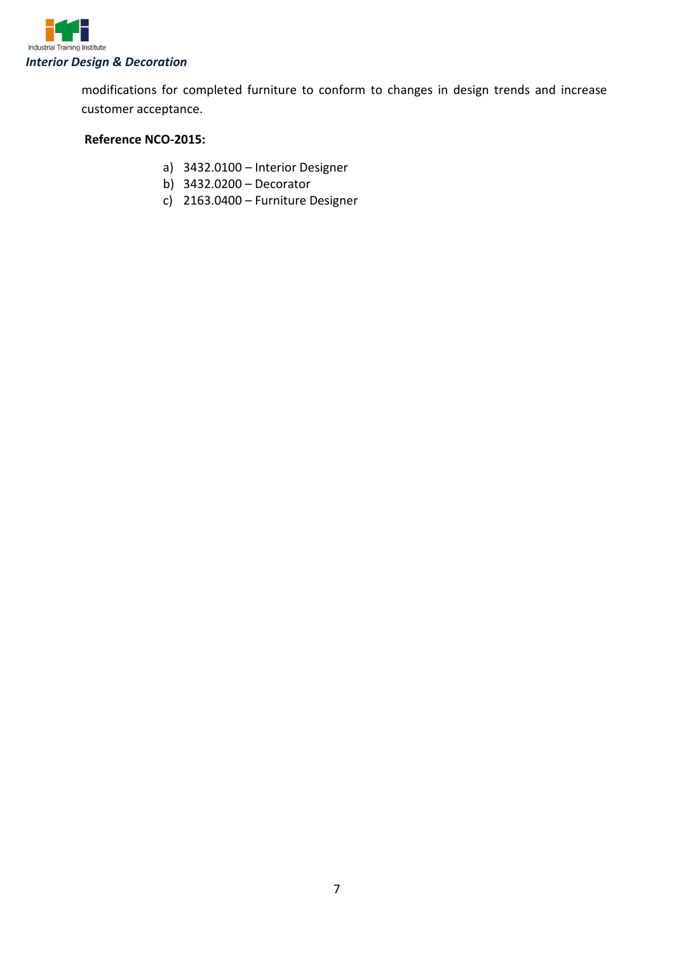

modifications for completed furniture to conform to changes in design trends and increase customer acceptance.

#### **Reference NCO-2015:**

- a) 3432.0100 Interior Designer
- b) 3432.0200 Decorator
- c) 2163.0400 Furniture Designer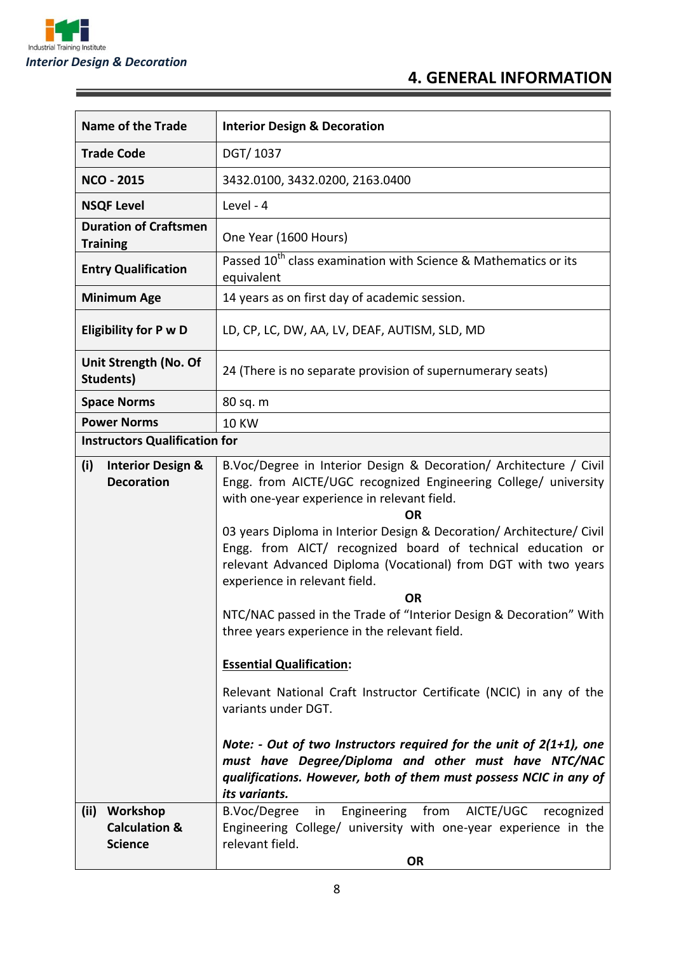

ĭ

| <b>Name of the Trade</b>                                       | <b>Interior Design &amp; Decoration</b>                                                                                                                                                                                                                                                                                                                                                                                                                                                                                                                                                                                                                                                                                                                                                                                                                                                                                                   |  |
|----------------------------------------------------------------|-------------------------------------------------------------------------------------------------------------------------------------------------------------------------------------------------------------------------------------------------------------------------------------------------------------------------------------------------------------------------------------------------------------------------------------------------------------------------------------------------------------------------------------------------------------------------------------------------------------------------------------------------------------------------------------------------------------------------------------------------------------------------------------------------------------------------------------------------------------------------------------------------------------------------------------------|--|
| <b>Trade Code</b>                                              | DGT/1037                                                                                                                                                                                                                                                                                                                                                                                                                                                                                                                                                                                                                                                                                                                                                                                                                                                                                                                                  |  |
| <b>NCO - 2015</b>                                              | 3432.0100, 3432.0200, 2163.0400                                                                                                                                                                                                                                                                                                                                                                                                                                                                                                                                                                                                                                                                                                                                                                                                                                                                                                           |  |
| <b>NSQF Level</b>                                              | Level - 4                                                                                                                                                                                                                                                                                                                                                                                                                                                                                                                                                                                                                                                                                                                                                                                                                                                                                                                                 |  |
| <b>Duration of Craftsmen</b><br><b>Training</b>                | One Year (1600 Hours)                                                                                                                                                                                                                                                                                                                                                                                                                                                                                                                                                                                                                                                                                                                                                                                                                                                                                                                     |  |
| <b>Entry Qualification</b>                                     | Passed 10 <sup>th</sup> class examination with Science & Mathematics or its<br>equivalent                                                                                                                                                                                                                                                                                                                                                                                                                                                                                                                                                                                                                                                                                                                                                                                                                                                 |  |
| <b>Minimum Age</b>                                             | 14 years as on first day of academic session.                                                                                                                                                                                                                                                                                                                                                                                                                                                                                                                                                                                                                                                                                                                                                                                                                                                                                             |  |
| <b>Eligibility for P w D</b>                                   | LD, CP, LC, DW, AA, LV, DEAF, AUTISM, SLD, MD                                                                                                                                                                                                                                                                                                                                                                                                                                                                                                                                                                                                                                                                                                                                                                                                                                                                                             |  |
| Unit Strength (No. Of<br>Students)                             | 24 (There is no separate provision of supernumerary seats)                                                                                                                                                                                                                                                                                                                                                                                                                                                                                                                                                                                                                                                                                                                                                                                                                                                                                |  |
| <b>Space Norms</b>                                             | 80 sq. m                                                                                                                                                                                                                                                                                                                                                                                                                                                                                                                                                                                                                                                                                                                                                                                                                                                                                                                                  |  |
| <b>Power Norms</b>                                             | <b>10 KW</b>                                                                                                                                                                                                                                                                                                                                                                                                                                                                                                                                                                                                                                                                                                                                                                                                                                                                                                                              |  |
| <b>Instructors Qualification for</b>                           |                                                                                                                                                                                                                                                                                                                                                                                                                                                                                                                                                                                                                                                                                                                                                                                                                                                                                                                                           |  |
| (i)<br><b>Interior Design &amp;</b><br><b>Decoration</b>       | B.Voc/Degree in Interior Design & Decoration/ Architecture / Civil<br>Engg. from AICTE/UGC recognized Engineering College/ university<br>with one-year experience in relevant field.<br><b>OR</b><br>03 years Diploma in Interior Design & Decoration/ Architecture/ Civil<br>Engg. from AICT/ recognized board of technical education or<br>relevant Advanced Diploma (Vocational) from DGT with two years<br>experience in relevant field.<br><b>OR</b><br>NTC/NAC passed in the Trade of "Interior Design & Decoration" With<br>three years experience in the relevant field.<br><b>Essential Qualification:</b><br>Relevant National Craft Instructor Certificate (NCIC) in any of the<br>variants under DGT.<br>Note: - Out of two Instructors required for the unit of $2(1+1)$ , one<br>must have Degree/Diploma and other must have NTC/NAC<br>qualifications. However, both of them must possess NCIC in any of<br>its variants. |  |
| Workshop<br>(ii)<br><b>Calculation &amp;</b><br><b>Science</b> | B.Voc/Degree<br>Engineering from AICTE/UGC<br>in<br>recognized<br>Engineering College/ university with one-year experience in the<br>relevant field.<br><b>OR</b>                                                                                                                                                                                                                                                                                                                                                                                                                                                                                                                                                                                                                                                                                                                                                                         |  |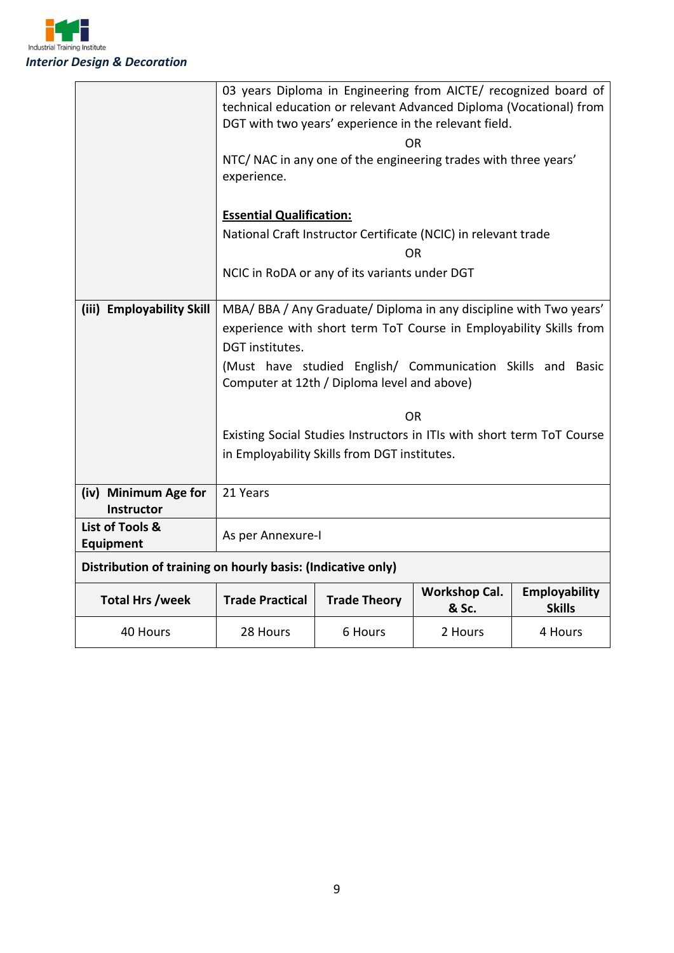

|                              | 03 years Diploma in Engineering from AICTE/ recognized board of<br>technical education or relevant Advanced Diploma (Vocational) from |                                               |           |         |  |
|------------------------------|---------------------------------------------------------------------------------------------------------------------------------------|-----------------------------------------------|-----------|---------|--|
|                              | DGT with two years' experience in the relevant field.                                                                                 |                                               |           |         |  |
|                              | <b>OR</b>                                                                                                                             |                                               |           |         |  |
|                              | NTC/ NAC in any one of the engineering trades with three years'                                                                       |                                               |           |         |  |
|                              | experience.                                                                                                                           |                                               |           |         |  |
|                              | <b>Essential Qualification:</b>                                                                                                       |                                               |           |         |  |
|                              | National Craft Instructor Certificate (NCIC) in relevant trade                                                                        |                                               |           |         |  |
|                              |                                                                                                                                       |                                               | <b>OR</b> |         |  |
|                              |                                                                                                                                       | NCIC in RoDA or any of its variants under DGT |           |         |  |
|                              |                                                                                                                                       |                                               |           |         |  |
| (iii) Employability Skill    | MBA/ BBA / Any Graduate/ Diploma in any discipline with Two years'                                                                    |                                               |           |         |  |
|                              | experience with short term ToT Course in Employability Skills from                                                                    |                                               |           |         |  |
|                              | DGT institutes.                                                                                                                       |                                               |           |         |  |
|                              | (Must have studied English/ Communication Skills and Basic                                                                            |                                               |           |         |  |
|                              | Computer at 12th / Diploma level and above)                                                                                           |                                               |           |         |  |
|                              | <b>OR</b>                                                                                                                             |                                               |           |         |  |
|                              | Existing Social Studies Instructors in ITIs with short term ToT Course                                                                |                                               |           |         |  |
|                              | in Employability Skills from DGT institutes.                                                                                          |                                               |           |         |  |
|                              |                                                                                                                                       |                                               |           |         |  |
| (iv) Minimum Age for         | 21 Years                                                                                                                              |                                               |           |         |  |
| Instructor                   |                                                                                                                                       |                                               |           |         |  |
| List of Tools &<br>Equipment | As per Annexure-I                                                                                                                     |                                               |           |         |  |
|                              |                                                                                                                                       |                                               |           |         |  |
|                              | Distribution of training on hourly basis: (Indicative only)                                                                           |                                               |           |         |  |
| <b>Total Hrs /week</b>       | <b>Employability</b><br><b>Workshop Cal.</b><br><b>Trade Practical</b><br><b>Trade Theory</b><br><b>Skills</b><br>& Sc.               |                                               |           |         |  |
| 40 Hours                     | 28 Hours                                                                                                                              | 6 Hours                                       | 2 Hours   | 4 Hours |  |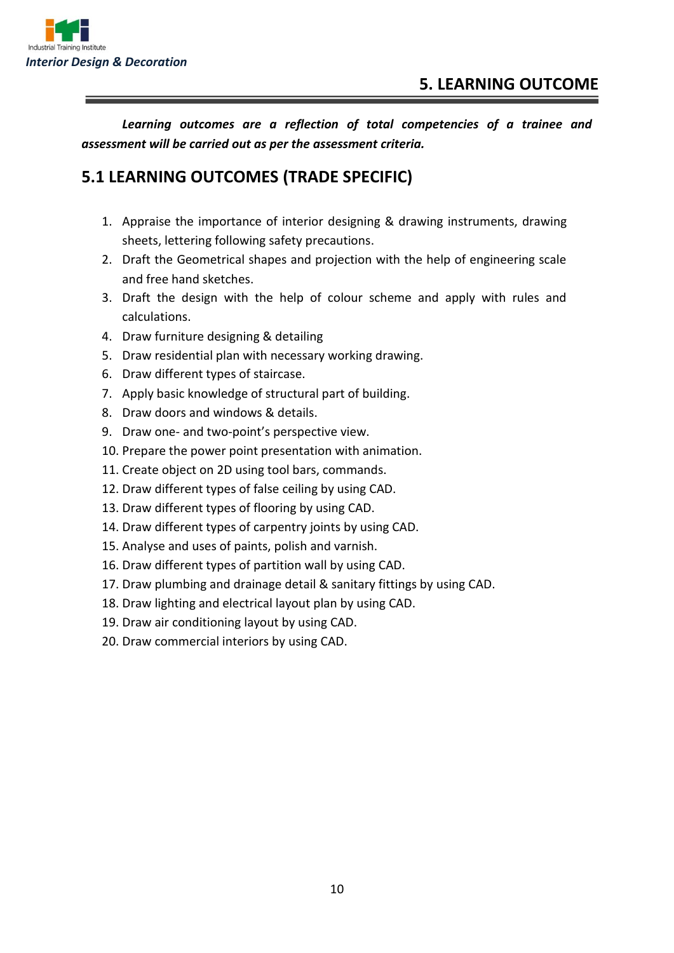

*Learning outcomes are a reflection of total competencies of a trainee and assessment will be carried out as per the assessment criteria.*

## **5.1 LEARNING OUTCOMES (TRADE SPECIFIC)**

- 1. Appraise the importance of interior designing & drawing instruments, drawing sheets, lettering following safety precautions.
- 2. Draft the Geometrical shapes and projection with the help of engineering scale and free hand sketches.
- 3. Draft the design with the help of colour scheme and apply with rules and calculations.
- 4. Draw furniture designing & detailing
- 5. Draw residential plan with necessary working drawing.
- 6. Draw different types of staircase.
- 7. Apply basic knowledge of structural part of building.
- 8. Draw doors and windows & details.
- 9. Draw one- and two-point's perspective view.
- 10. Prepare the power point presentation with animation.
- 11. Create object on 2D using tool bars, commands.
- 12. Draw different types of false ceiling by using CAD.
- 13. Draw different types of flooring by using CAD.
- 14. Draw different types of carpentry joints by using CAD.
- 15. Analyse and uses of paints, polish and varnish.
- 16. Draw different types of partition wall by using CAD.
- 17. Draw plumbing and drainage detail & sanitary fittings by using CAD.
- 18. Draw lighting and electrical layout plan by using CAD.
- 19. Draw air conditioning layout by using CAD.
- 20. Draw commercial interiors by using CAD.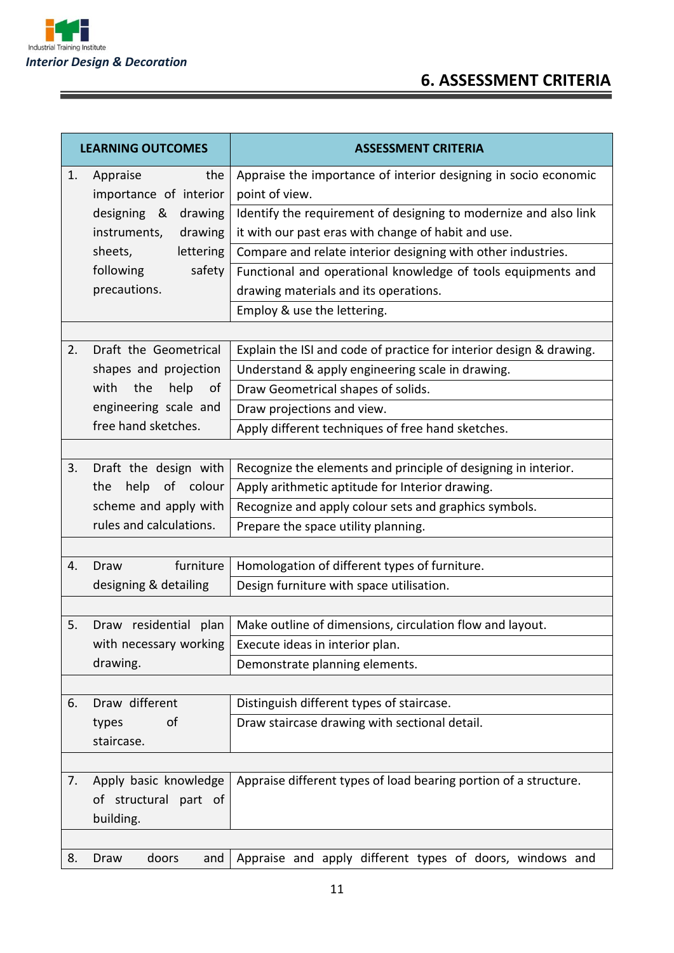

<u> Termin de la propieta de la propieta de la propieta de la propieta de la propieta de la propieta de la propie</u>

## **6. ASSESSMENT CRITERIA**

| <b>LEARNING OUTCOMES</b> |                           | <b>ASSESSMENT CRITERIA</b>                                          |  |  |
|--------------------------|---------------------------|---------------------------------------------------------------------|--|--|
| 1.                       | Appraise<br>the           | Appraise the importance of interior designing in socio economic     |  |  |
|                          | importance of interior    | point of view.                                                      |  |  |
|                          | designing & drawing       | Identify the requirement of designing to modernize and also link    |  |  |
|                          | instruments,<br>drawing   | it with our past eras with change of habit and use.                 |  |  |
|                          | sheets,<br>lettering      | Compare and relate interior designing with other industries.        |  |  |
|                          | following<br>safety       | Functional and operational knowledge of tools equipments and        |  |  |
|                          | precautions.              | drawing materials and its operations.                               |  |  |
|                          |                           | Employ & use the lettering.                                         |  |  |
|                          |                           |                                                                     |  |  |
| 2.                       | Draft the Geometrical     | Explain the ISI and code of practice for interior design & drawing. |  |  |
|                          | shapes and projection     | Understand & apply engineering scale in drawing.                    |  |  |
|                          | with<br>the<br>help<br>0f | Draw Geometrical shapes of solids.                                  |  |  |
|                          | engineering scale and     | Draw projections and view.                                          |  |  |
|                          | free hand sketches.       | Apply different techniques of free hand sketches.                   |  |  |
|                          |                           |                                                                     |  |  |
| 3.                       | Draft the design with     | Recognize the elements and principle of designing in interior.      |  |  |
|                          | help of colour<br>the     | Apply arithmetic aptitude for Interior drawing.                     |  |  |
| scheme and apply with    |                           | Recognize and apply colour sets and graphics symbols.               |  |  |
|                          | rules and calculations.   | Prepare the space utility planning.                                 |  |  |
|                          |                           |                                                                     |  |  |
| 4.                       | furniture<br>Draw         | Homologation of different types of furniture.                       |  |  |
|                          | designing & detailing     | Design furniture with space utilisation.                            |  |  |
|                          |                           |                                                                     |  |  |
| 5.                       | Draw residential plan     | Make outline of dimensions, circulation flow and layout.            |  |  |
|                          | with necessary working    | Execute ideas in interior plan.                                     |  |  |
|                          | drawing.                  | Demonstrate planning elements.                                      |  |  |
|                          |                           |                                                                     |  |  |
| 6.                       | Draw different            | Distinguish different types of staircase.                           |  |  |
|                          | types<br>οf               | Draw staircase drawing with sectional detail.                       |  |  |
|                          | staircase.                |                                                                     |  |  |
|                          |                           |                                                                     |  |  |
| 7.                       | Apply basic knowledge     | Appraise different types of load bearing portion of a structure.    |  |  |
|                          | of structural part of     |                                                                     |  |  |
|                          | building.                 |                                                                     |  |  |
|                          |                           |                                                                     |  |  |
| 8.                       | doors<br>Draw<br>and      | Appraise and apply different types of doors, windows and            |  |  |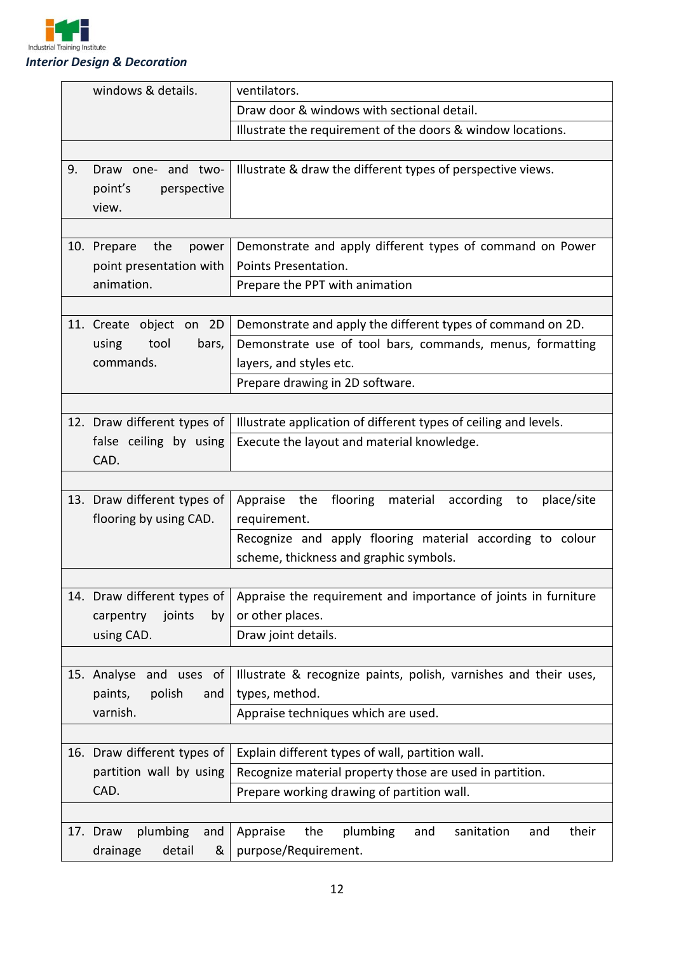

| windows & details.     |                             | ventilators.                                                     |  |  |
|------------------------|-----------------------------|------------------------------------------------------------------|--|--|
|                        |                             | Draw door & windows with sectional detail.                       |  |  |
|                        |                             | Illustrate the requirement of the doors & window locations.      |  |  |
|                        |                             |                                                                  |  |  |
| 9.                     | Draw one- and two-          | Illustrate & draw the different types of perspective views.      |  |  |
|                        | point's<br>perspective      |                                                                  |  |  |
|                        | view.                       |                                                                  |  |  |
|                        |                             |                                                                  |  |  |
|                        | the<br>10. Prepare<br>power | Demonstrate and apply different types of command on Power        |  |  |
|                        | point presentation with     | Points Presentation.                                             |  |  |
|                        | animation.                  | Prepare the PPT with animation                                   |  |  |
|                        |                             |                                                                  |  |  |
|                        | 11. Create object on 2D     | Demonstrate and apply the different types of command on 2D.      |  |  |
|                        | tool<br>using<br>bars,      | Demonstrate use of tool bars, commands, menus, formatting        |  |  |
|                        | commands.                   | layers, and styles etc.                                          |  |  |
|                        |                             | Prepare drawing in 2D software.                                  |  |  |
|                        |                             |                                                                  |  |  |
|                        | 12. Draw different types of | Illustrate application of different types of ceiling and levels. |  |  |
| false ceiling by using |                             | Execute the layout and material knowledge.                       |  |  |
|                        | CAD.                        |                                                                  |  |  |
|                        |                             |                                                                  |  |  |
|                        | 13. Draw different types of | Appraise the<br>flooring material according<br>place/site<br>to  |  |  |
| flooring by using CAD. |                             | requirement.                                                     |  |  |
|                        |                             | Recognize and apply flooring material according to colour        |  |  |
|                        |                             | scheme, thickness and graphic symbols.                           |  |  |
|                        |                             |                                                                  |  |  |
|                        | 14. Draw different types of | Appraise the requirement and importance of joints in furniture   |  |  |
|                        | joints<br>carpentry<br>by   | or other places.                                                 |  |  |
|                        | using CAD.                  | Draw joint details.                                              |  |  |
|                        |                             |                                                                  |  |  |
|                        | 15. Analyse and uses of     | Illustrate & recognize paints, polish, varnishes and their uses, |  |  |
|                        |                             |                                                                  |  |  |
|                        | polish<br>paints,<br>and    | types, method.                                                   |  |  |
|                        | varnish.                    | Appraise techniques which are used.                              |  |  |
|                        |                             |                                                                  |  |  |
|                        | 16. Draw different types of | Explain different types of wall, partition wall.                 |  |  |
|                        | partition wall by using     | Recognize material property those are used in partition.         |  |  |
|                        | CAD.                        | Prepare working drawing of partition wall.                       |  |  |
|                        |                             |                                                                  |  |  |
|                        | plumbing<br>17. Draw<br>and | Appraise<br>the<br>plumbing<br>their<br>sanitation<br>and<br>and |  |  |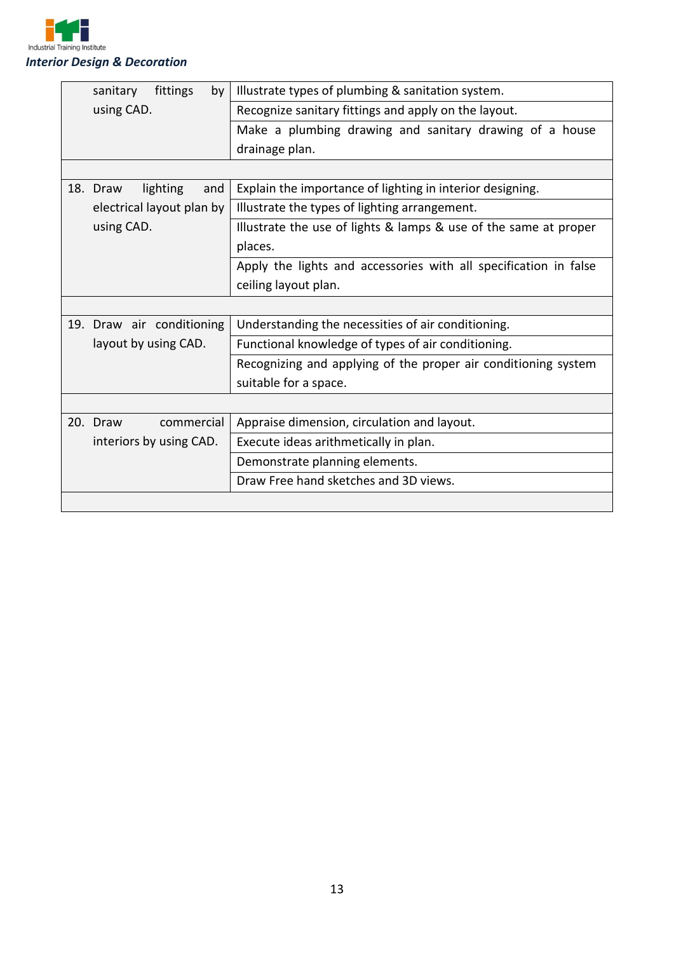

| sanitary<br>fittings<br>by  | Illustrate types of plumbing & sanitation system.                |
|-----------------------------|------------------------------------------------------------------|
| using CAD.                  | Recognize sanitary fittings and apply on the layout.             |
|                             | Make a plumbing drawing and sanitary drawing of a house          |
|                             | drainage plan.                                                   |
|                             |                                                                  |
| 18. Draw<br>lighting<br>and | Explain the importance of lighting in interior designing.        |
| electrical layout plan by   | Illustrate the types of lighting arrangement.                    |
| using CAD.                  | Illustrate the use of lights & lamps & use of the same at proper |
|                             | places.                                                          |
|                             | Apply the lights and accessories with all specification in false |
|                             | ceiling layout plan.                                             |
|                             |                                                                  |
| 19. Draw air conditioning   | Understanding the necessities of air conditioning.               |
| layout by using CAD.        | Functional knowledge of types of air conditioning.               |
|                             | Recognizing and applying of the proper air conditioning system   |
|                             | suitable for a space.                                            |
|                             |                                                                  |
| 20. Draw<br>commercial      | Appraise dimension, circulation and layout.                      |
| interiors by using CAD.     | Execute ideas arithmetically in plan.                            |
|                             | Demonstrate planning elements.                                   |
|                             | Draw Free hand sketches and 3D views.                            |
|                             |                                                                  |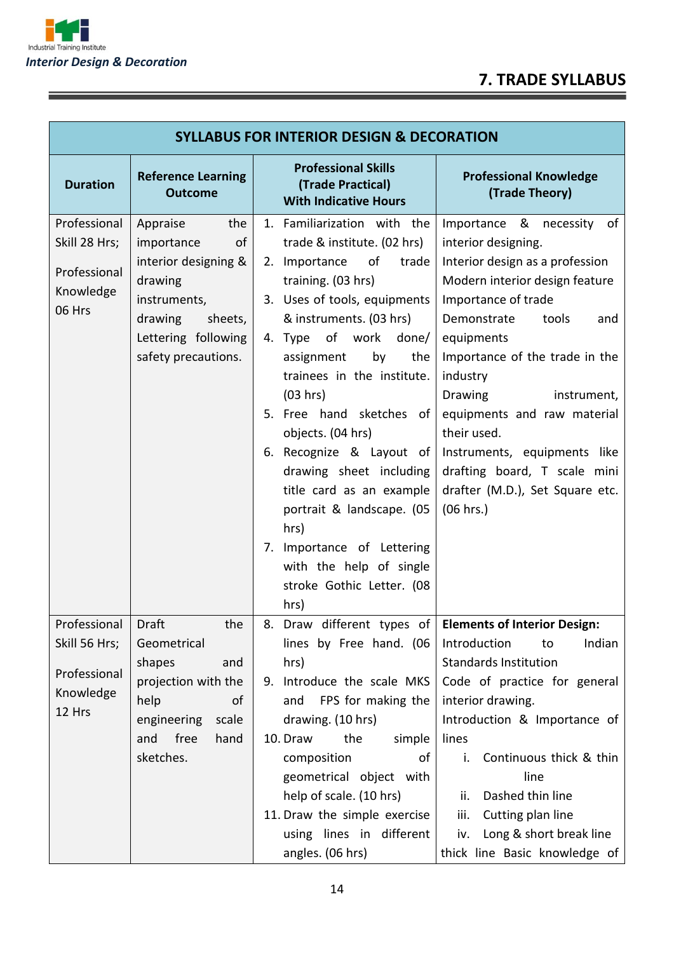## **7. TRADE SYLLABUS**



F

| <b>SYLLABUS FOR INTERIOR DESIGN &amp; DECORATION</b>                 |                                                                                                                                                            |                                                                                                                                                                                                                                                                                                                                                                                                                                                                                                                                                  |                                                                                                                                                                                                                                                                                                                                                                                                                                        |  |
|----------------------------------------------------------------------|------------------------------------------------------------------------------------------------------------------------------------------------------------|--------------------------------------------------------------------------------------------------------------------------------------------------------------------------------------------------------------------------------------------------------------------------------------------------------------------------------------------------------------------------------------------------------------------------------------------------------------------------------------------------------------------------------------------------|----------------------------------------------------------------------------------------------------------------------------------------------------------------------------------------------------------------------------------------------------------------------------------------------------------------------------------------------------------------------------------------------------------------------------------------|--|
| <b>Duration</b>                                                      | <b>Reference Learning</b><br><b>Outcome</b>                                                                                                                | <b>Professional Skills</b><br>(Trade Practical)<br><b>With Indicative Hours</b>                                                                                                                                                                                                                                                                                                                                                                                                                                                                  | <b>Professional Knowledge</b><br>(Trade Theory)                                                                                                                                                                                                                                                                                                                                                                                        |  |
| Professional<br>Skill 28 Hrs;<br>Professional<br>Knowledge<br>06 Hrs | Appraise<br>the<br>importance<br>of<br>interior designing &<br>drawing<br>instruments,<br>drawing<br>sheets,<br>Lettering following<br>safety precautions. | 1. Familiarization with the<br>trade & institute. (02 hrs)<br>of<br>2. Importance<br>trade<br>training. (03 hrs)<br>3. Uses of tools, equipments<br>& instruments. (03 hrs)<br>4. Type of work done/<br>assignment<br>by<br>the<br>trainees in the institute.<br>(03 hrs)<br>5. Free hand sketches of<br>objects. (04 hrs)<br>6. Recognize & Layout of<br>drawing sheet including<br>title card as an example<br>portrait & landscape. (05<br>hrs)<br>7. Importance of Lettering<br>with the help of single<br>stroke Gothic Letter. (08<br>hrs) | Importance & necessity of<br>interior designing.<br>Interior design as a profession<br>Modern interior design feature<br>Importance of trade<br>Demonstrate<br>tools<br>and<br>equipments<br>Importance of the trade in the<br>industry<br><b>Drawing</b><br>instrument,<br>equipments and raw material<br>their used.<br>Instruments, equipments like<br>drafting board, T scale mini<br>drafter (M.D.), Set Square etc.<br>(06 hrs.) |  |
| Professional<br>Skill 56 Hrs;<br>Professional<br>Knowledge<br>12 Hrs | Draft<br>the<br>Geometrical<br>shapes<br>and<br>projection with the<br>help<br>of<br>engineering<br>scale<br>free<br>hand<br>and<br>sketches.              | 8. Draw different types of   Elements of Interior Design:<br>lines by Free hand. (06<br>hrs)<br>9. Introduce the scale MKS<br>FPS for making the<br>and<br>drawing. (10 hrs)<br>the<br>simple<br>10. Draw<br>composition<br>of<br>geometrical object with<br>help of scale. (10 hrs)<br>11. Draw the simple exercise<br>using lines in different<br>angles. (06 hrs)                                                                                                                                                                             | Introduction<br>Indian<br>to<br><b>Standards Institution</b><br>Code of practice for general<br>interior drawing.<br>Introduction & Importance of<br>lines<br>Continuous thick & thin<br>i.<br>line<br>Dashed thin line<br>ii.<br>Cutting plan line<br>iii.<br>Long & short break line<br>iv.<br>thick line Basic knowledge of                                                                                                         |  |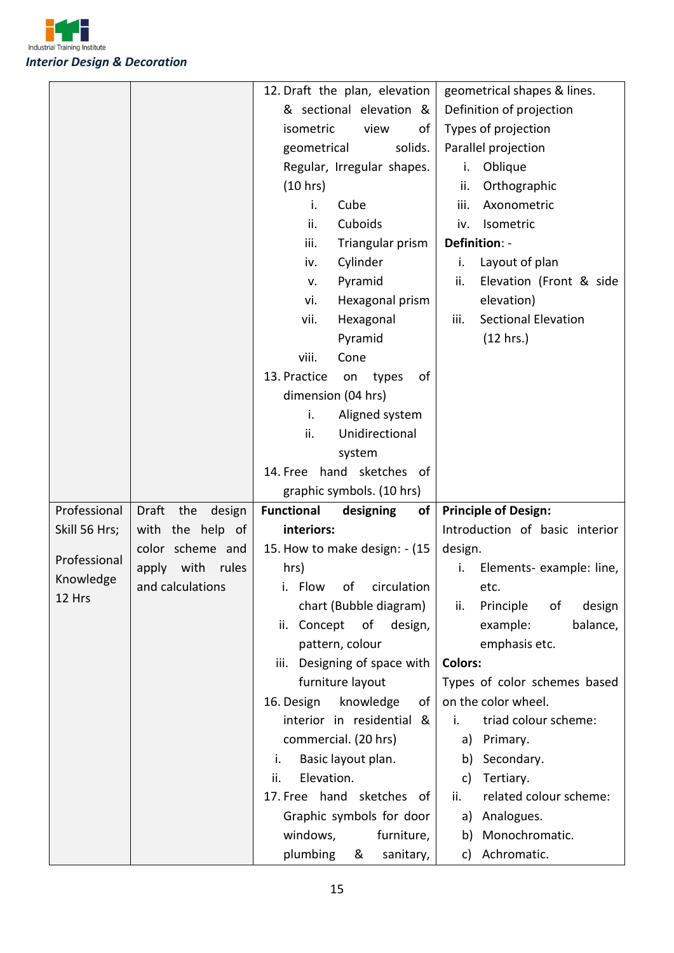

|               |                        | 12. Draft the plan, elevation                        | geometrical shapes & lines.               |
|---------------|------------------------|------------------------------------------------------|-------------------------------------------|
|               |                        | & sectional elevation &                              | Definition of projection                  |
|               |                        | isometric<br>view<br>οf                              | Types of projection                       |
|               |                        | solids.<br>geometrical                               | Parallel projection                       |
|               |                        | Regular, Irregular shapes.                           | Oblique<br>i.                             |
|               |                        | (10 hrs)                                             | Orthographic<br>ii.                       |
|               |                        | i.<br>Cube                                           | iii.<br>Axonometric                       |
|               |                        | ii.<br>Cuboids                                       | Isometric<br>iv.                          |
|               |                        | iii.<br>Triangular prism                             | Definition: -                             |
|               |                        | Cylinder<br>iv.                                      | Layout of plan<br>i.                      |
|               |                        | Pyramid<br>v.                                        | Elevation (Front & side<br>ii.            |
|               |                        | Hexagonal prism<br>vi.                               | elevation)                                |
|               |                        | vii.<br>Hexagonal                                    | <b>Sectional Elevation</b><br>iii.        |
|               |                        | Pyramid                                              | (12 hrs.)                                 |
|               |                        | viii.<br>Cone                                        |                                           |
|               |                        | 13. Practice<br>of<br>on<br>types                    |                                           |
|               |                        | dimension (04 hrs)                                   |                                           |
|               |                        | i.<br>Aligned system                                 |                                           |
|               |                        | ii.<br>Unidirectional                                |                                           |
|               |                        | system                                               |                                           |
|               |                        | 14. Free hand sketches of                            |                                           |
|               |                        |                                                      |                                           |
|               |                        | graphic symbols. (10 hrs)                            |                                           |
| Professional  | Draft<br>the<br>design | <b>Functional</b><br>of<br>designing                 | <b>Principle of Design:</b>               |
| Skill 56 Hrs; | with the help of       | interiors:                                           | Introduction of basic interior            |
|               | color scheme and       | 15. How to make design: - (15                        | design.                                   |
| Professional  | with<br>apply<br>rules | hrs)                                                 | Elements- example: line,<br>i.            |
| Knowledge     | and calculations       | i. Flow of circulation                               | etc.                                      |
| 12 Hrs        |                        | chart (Bubble diagram)                               | Principle<br>of<br>design<br>ii.          |
|               |                        | ii. Concept of<br>design,                            | balance,<br>example:                      |
|               |                        | pattern, colour                                      | emphasis etc.                             |
|               |                        | Designing of space with<br>iii.                      | <b>Colors:</b>                            |
|               |                        | furniture layout                                     | Types of color schemes based              |
|               |                        | 16. Design<br>knowledge<br>of                        | on the color wheel.                       |
|               |                        | interior in residential &                            | triad colour scheme:<br>i.                |
|               |                        | commercial. (20 hrs)                                 | Primary.<br>a)                            |
|               |                        | Basic layout plan.<br>i.                             | Secondary.<br>b)                          |
|               |                        | Elevation.<br>ii.                                    | Tertiary.<br>c)                           |
|               |                        | 17. Free hand sketches of                            | related colour scheme:<br>ii.             |
|               |                        | Graphic symbols for door                             | Analogues.<br>a)                          |
|               |                        | windows,<br>furniture,<br>plumbing<br>sanitary,<br>& | Monochromatic.<br>b)<br>Achromatic.<br>c) |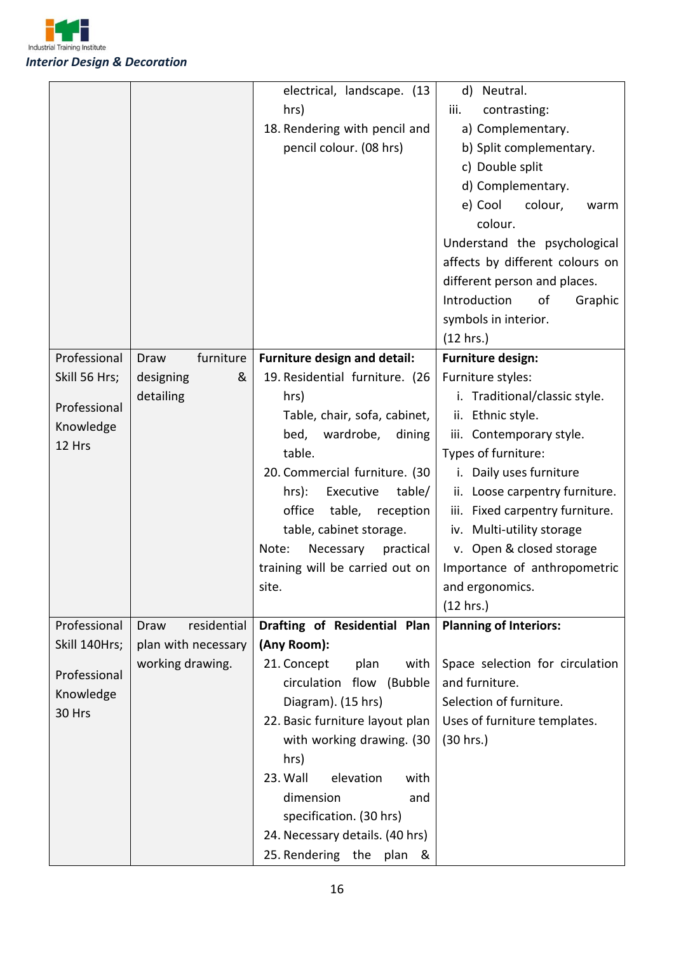

|               |                     | electrical, landscape. (13          | d) Neutral.                     |
|---------------|---------------------|-------------------------------------|---------------------------------|
|               |                     | hrs)                                | contrasting:<br>iii.            |
|               |                     | 18. Rendering with pencil and       | a) Complementary.               |
|               |                     | pencil colour. (08 hrs)             | b) Split complementary.         |
|               |                     |                                     | c) Double split                 |
|               |                     |                                     | d) Complementary.               |
|               |                     |                                     | e) Cool<br>colour,<br>warm      |
|               |                     |                                     | colour.                         |
|               |                     |                                     |                                 |
|               |                     |                                     | Understand the psychological    |
|               |                     |                                     | affects by different colours on |
|               |                     |                                     | different person and places.    |
|               |                     |                                     | Introduction<br>of<br>Graphic   |
|               |                     |                                     | symbols in interior.            |
|               |                     |                                     | (12 hrs.)                       |
| Professional  | furniture<br>Draw   | <b>Furniture design and detail:</b> | <b>Furniture design:</b>        |
| Skill 56 Hrs; | designing<br>&      | 19. Residential furniture. (26      | Furniture styles:               |
| Professional  | detailing           | hrs)                                | i. Traditional/classic style.   |
|               |                     | Table, chair, sofa, cabinet,        | ii. Ethnic style.               |
| Knowledge     |                     | bed,<br>wardrobe,<br>dining         | iii. Contemporary style.        |
| 12 Hrs        |                     | table.                              | Types of furniture:             |
|               |                     | 20. Commercial furniture. (30       | i. Daily uses furniture         |
|               |                     | $hrs$ :<br>Executive<br>table/      | ii. Loose carpentry furniture.  |
|               |                     | office<br>table,<br>reception       | iii. Fixed carpentry furniture. |
|               |                     | table, cabinet storage.             | iv. Multi-utility storage       |
|               |                     | Necessary<br>Note:<br>practical     | v. Open & closed storage        |
|               |                     | training will be carried out on     | Importance of anthropometric    |
|               |                     | site.                               | and ergonomics.                 |
|               |                     |                                     | (12 hrs.)                       |
| Professional  | residential<br>Draw | Drafting of Residential Plan        | <b>Planning of Interiors:</b>   |
| Skill 140Hrs; | plan with necessary | (Any Room):                         |                                 |
|               | working drawing.    | 21. Concept<br>with<br>plan         | Space selection for circulation |
| Professional  |                     | circulation flow (Bubble            | and furniture.                  |
| Knowledge     |                     | Diagram). (15 hrs)                  | Selection of furniture.         |
| 30 Hrs        |                     | 22. Basic furniture layout plan     | Uses of furniture templates.    |
|               |                     | with working drawing. (30           | (30 hrs.)                       |
|               |                     |                                     |                                 |
|               |                     | hrs)                                |                                 |
|               |                     | 23. Wall<br>elevation<br>with       |                                 |
|               |                     | dimension<br>and                    |                                 |
|               |                     | specification. (30 hrs)             |                                 |
|               |                     | 24. Necessary details. (40 hrs)     |                                 |
|               |                     | 25. Rendering the<br>plan &         |                                 |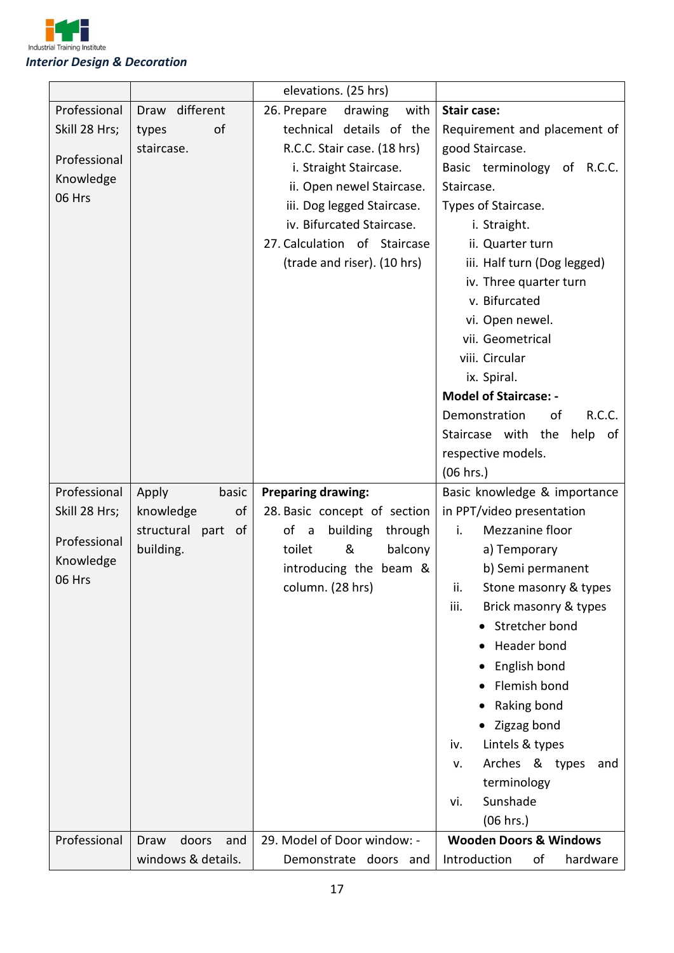

|               |                       | elevations. (25 hrs)           |                                                |
|---------------|-----------------------|--------------------------------|------------------------------------------------|
| Professional  | Draw different        | 26. Prepare<br>drawing<br>with | <b>Stair case:</b>                             |
| Skill 28 Hrs; | of<br>types           | technical details of the       | Requirement and placement of                   |
|               | staircase.            | R.C.C. Stair case. (18 hrs)    | good Staircase.                                |
| Professional  |                       | i. Straight Staircase.         | Basic terminology of R.C.C.                    |
| Knowledge     |                       | ii. Open newel Staircase.      | Staircase.                                     |
| 06 Hrs        |                       | iii. Dog legged Staircase.     | Types of Staircase.                            |
|               |                       | iv. Bifurcated Staircase.      | i. Straight.                                   |
|               |                       | 27. Calculation of Staircase   | ii. Quarter turn                               |
|               |                       | (trade and riser). (10 hrs)    | iii. Half turn (Dog legged)                    |
|               |                       |                                | iv. Three quarter turn                         |
|               |                       |                                | v. Bifurcated                                  |
|               |                       |                                | vi. Open newel.                                |
|               |                       |                                | vii. Geometrical                               |
|               |                       |                                | viii. Circular                                 |
|               |                       |                                | ix. Spiral.                                    |
|               |                       |                                | <b>Model of Staircase: -</b>                   |
|               |                       |                                | Demonstration<br>R.C.C.<br>οf                  |
|               |                       |                                | Staircase with the<br>help of                  |
|               |                       |                                | respective models.                             |
|               |                       |                                | (06 hrs.)                                      |
|               |                       |                                |                                                |
| Professional  | Apply<br>basic        | <b>Preparing drawing:</b>      | Basic knowledge & importance                   |
| Skill 28 Hrs; | knowledge<br>of       | 28. Basic concept of section   | in PPT/video presentation                      |
|               | structural part<br>0f | of a<br>building<br>through    | Mezzanine floor<br>i.                          |
| Professional  | building.             | &<br>toilet<br>balcony         | a) Temporary                                   |
| Knowledge     |                       | introducing the beam &         | b) Semi permanent                              |
| 06 Hrs        |                       | column. (28 hrs)               | ii.<br>Stone masonry & types                   |
|               |                       |                                | iii.<br>Brick masonry & types                  |
|               |                       |                                | Stretcher bond                                 |
|               |                       |                                | <b>Header bond</b>                             |
|               |                       |                                | English bond                                   |
|               |                       |                                | Flemish bond                                   |
|               |                       |                                | Raking bond                                    |
|               |                       |                                |                                                |
|               |                       |                                | Zigzag bond<br>iv.                             |
|               |                       |                                | Lintels & types<br>and<br>v.                   |
|               |                       |                                | Arches & types                                 |
|               |                       |                                | terminology<br>vi.                             |
|               |                       |                                | Sunshade                                       |
| Professional  | doors<br>Draw<br>and  | 29. Model of Door window: -    | (06 hrs.)<br><b>Wooden Doors &amp; Windows</b> |
|               | windows & details.    | Demonstrate doors<br>and       | Introduction<br>of<br>hardware                 |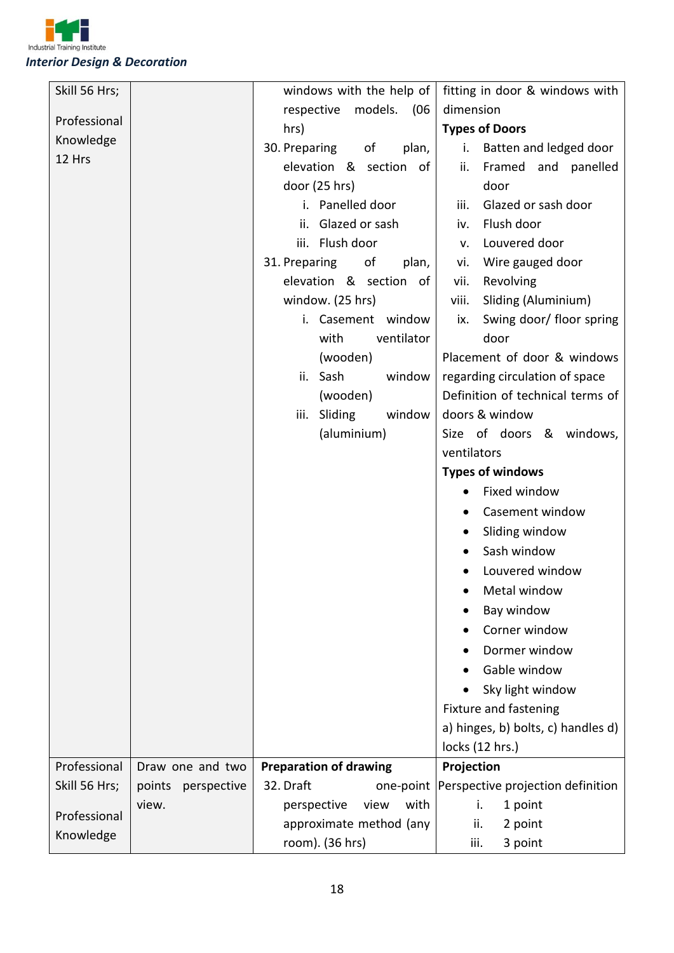

| (06)<br>dimension<br>respective<br>models.<br>Professional<br>hrs)<br><b>Types of Doors</b><br>Knowledge<br>30. Preparing<br>of<br>plan,<br>Batten and ledged door<br>i.<br>12 Hrs<br>elevation & section of<br>Framed and panelled<br>ii.<br>door (25 hrs)<br>door<br>i. Panelled door<br>Glazed or sash door<br>iii.<br>ii. Glazed or sash<br>Flush door<br>iv.<br>Louvered door<br>iii. Flush door<br>v.<br>31. Preparing<br>of<br>Wire gauged door<br>plan,<br>vi.<br>elevation & section of<br>vii.<br>Revolving<br>window. (25 hrs)<br>Sliding (Aluminium)<br>viii. |
|---------------------------------------------------------------------------------------------------------------------------------------------------------------------------------------------------------------------------------------------------------------------------------------------------------------------------------------------------------------------------------------------------------------------------------------------------------------------------------------------------------------------------------------------------------------------------|
|                                                                                                                                                                                                                                                                                                                                                                                                                                                                                                                                                                           |
|                                                                                                                                                                                                                                                                                                                                                                                                                                                                                                                                                                           |
|                                                                                                                                                                                                                                                                                                                                                                                                                                                                                                                                                                           |
|                                                                                                                                                                                                                                                                                                                                                                                                                                                                                                                                                                           |
|                                                                                                                                                                                                                                                                                                                                                                                                                                                                                                                                                                           |
|                                                                                                                                                                                                                                                                                                                                                                                                                                                                                                                                                                           |
|                                                                                                                                                                                                                                                                                                                                                                                                                                                                                                                                                                           |
|                                                                                                                                                                                                                                                                                                                                                                                                                                                                                                                                                                           |
|                                                                                                                                                                                                                                                                                                                                                                                                                                                                                                                                                                           |
|                                                                                                                                                                                                                                                                                                                                                                                                                                                                                                                                                                           |
|                                                                                                                                                                                                                                                                                                                                                                                                                                                                                                                                                                           |
| i. Casement window<br>Swing door/ floor spring<br>ix.                                                                                                                                                                                                                                                                                                                                                                                                                                                                                                                     |
| ventilator<br>door<br>with                                                                                                                                                                                                                                                                                                                                                                                                                                                                                                                                                |
| Placement of door & windows<br>(wooden)                                                                                                                                                                                                                                                                                                                                                                                                                                                                                                                                   |
| ii. Sash<br>window<br>regarding circulation of space                                                                                                                                                                                                                                                                                                                                                                                                                                                                                                                      |
| Definition of technical terms of<br>(wooden)                                                                                                                                                                                                                                                                                                                                                                                                                                                                                                                              |
| doors & window<br>iii. Sliding<br>window                                                                                                                                                                                                                                                                                                                                                                                                                                                                                                                                  |
| (aluminium)<br>Size of doors & windows,                                                                                                                                                                                                                                                                                                                                                                                                                                                                                                                                   |
| ventilators                                                                                                                                                                                                                                                                                                                                                                                                                                                                                                                                                               |
| <b>Types of windows</b>                                                                                                                                                                                                                                                                                                                                                                                                                                                                                                                                                   |
| Fixed window                                                                                                                                                                                                                                                                                                                                                                                                                                                                                                                                                              |
| Casement window                                                                                                                                                                                                                                                                                                                                                                                                                                                                                                                                                           |
| Sliding window                                                                                                                                                                                                                                                                                                                                                                                                                                                                                                                                                            |
| Sash window                                                                                                                                                                                                                                                                                                                                                                                                                                                                                                                                                               |
| Louvered window                                                                                                                                                                                                                                                                                                                                                                                                                                                                                                                                                           |
| Metal window                                                                                                                                                                                                                                                                                                                                                                                                                                                                                                                                                              |
| Bay window                                                                                                                                                                                                                                                                                                                                                                                                                                                                                                                                                                |
| Corner window                                                                                                                                                                                                                                                                                                                                                                                                                                                                                                                                                             |
| Dormer window                                                                                                                                                                                                                                                                                                                                                                                                                                                                                                                                                             |
| Gable window                                                                                                                                                                                                                                                                                                                                                                                                                                                                                                                                                              |
| Sky light window                                                                                                                                                                                                                                                                                                                                                                                                                                                                                                                                                          |
| Fixture and fastening                                                                                                                                                                                                                                                                                                                                                                                                                                                                                                                                                     |
| a) hinges, b) bolts, c) handles d)                                                                                                                                                                                                                                                                                                                                                                                                                                                                                                                                        |
| locks (12 hrs.)                                                                                                                                                                                                                                                                                                                                                                                                                                                                                                                                                           |
| Professional<br><b>Preparation of drawing</b><br>Projection<br>Draw one and two                                                                                                                                                                                                                                                                                                                                                                                                                                                                                           |
| Perspective projection definition<br>Skill 56 Hrs;<br>32. Draft<br>points<br>one-point<br>perspective                                                                                                                                                                                                                                                                                                                                                                                                                                                                     |
| with<br>view.<br>perspective<br>view<br>1 point<br>i.                                                                                                                                                                                                                                                                                                                                                                                                                                                                                                                     |
| Professional<br>approximate method (any<br>ii.<br>2 point                                                                                                                                                                                                                                                                                                                                                                                                                                                                                                                 |
| Knowledge<br>room). (36 hrs)<br>3 point<br>iii.                                                                                                                                                                                                                                                                                                                                                                                                                                                                                                                           |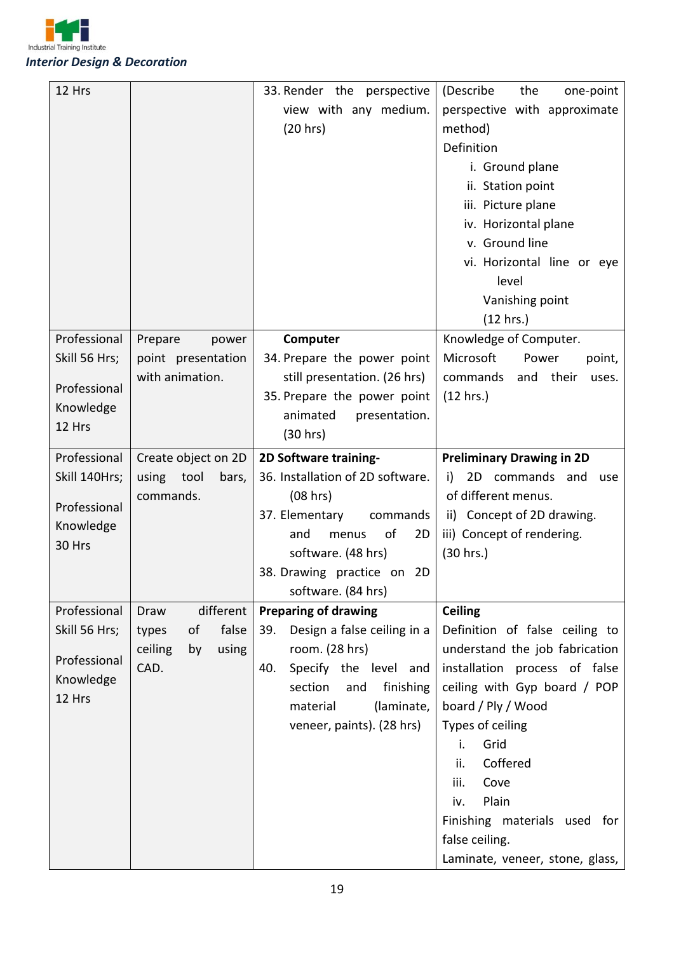

| 12 Hrs              |                        | 33. Render the perspective         | (Describe<br>the<br>one-point    |
|---------------------|------------------------|------------------------------------|----------------------------------|
|                     |                        | view with any medium.              | perspective with approximate     |
|                     |                        | (20 hrs)                           | method)                          |
|                     |                        |                                    | Definition                       |
|                     |                        |                                    | i. Ground plane                  |
|                     |                        |                                    | ii. Station point                |
|                     |                        |                                    | iii. Picture plane               |
|                     |                        |                                    | iv. Horizontal plane             |
|                     |                        |                                    | v. Ground line                   |
|                     |                        |                                    | vi. Horizontal line or eye       |
|                     |                        |                                    | level                            |
|                     |                        |                                    | Vanishing point                  |
|                     |                        |                                    | (12 hrs.)                        |
| Professional        | Prepare<br>power       | Computer                           | Knowledge of Computer.           |
| Skill 56 Hrs;       | point presentation     | 34. Prepare the power point        | Microsoft<br>Power<br>point,     |
| Professional        | with animation.        | still presentation. (26 hrs)       | and their<br>commands<br>uses.   |
| Knowledge           |                        | 35. Prepare the power point        | (12 hrs.)                        |
| 12 Hrs              |                        | animated<br>presentation.          |                                  |
|                     |                        | (30 hrs)                           |                                  |
| Professional        | Create object on 2D    | 2D Software training-              | <b>Preliminary Drawing in 2D</b> |
| Skill 140Hrs;       | using tool<br>bars,    | 36. Installation of 2D software.   | i)<br>2D commands and<br>use     |
|                     | commands.              | (08 hrs)                           | of different menus.              |
| Professional        |                        | 37. Elementary<br>commands         | ii) Concept of 2D drawing.       |
| Knowledge<br>30 Hrs |                        | of<br>2D<br>and<br>menus           | iii) Concept of rendering.       |
|                     |                        | software. (48 hrs)                 | (30 hrs.)                        |
|                     |                        | 38. Drawing practice on 2D         |                                  |
|                     |                        | software. (84 hrs)                 |                                  |
| Professional        | different<br>Draw      | <b>Preparing of drawing</b>        | <b>Ceiling</b>                   |
| Skill 56 Hrs;       | false<br>οf<br>types   | Design a false ceiling in a<br>39. | Definition of false ceiling to   |
| Professional        | ceiling<br>using<br>by | room. (28 hrs)                     | understand the job fabrication   |
| Knowledge           | CAD.                   | 40.<br>Specify the level and       | installation process of false    |
| 12 Hrs              |                        | section<br>finishing<br>and        | ceiling with Gyp board / POP     |
|                     |                        | (laminate,<br>material             | board / Ply / Wood               |
|                     |                        | veneer, paints). (28 hrs)          | Types of ceiling                 |
|                     |                        |                                    | Grid<br>i.                       |
|                     |                        |                                    | ii.<br>Coffered                  |
|                     |                        |                                    | Cove<br>iii.                     |
|                     |                        |                                    | Plain<br>iv.                     |
|                     |                        |                                    | Finishing materials used for     |
|                     |                        |                                    | false ceiling.                   |
|                     |                        |                                    | Laminate, veneer, stone, glass,  |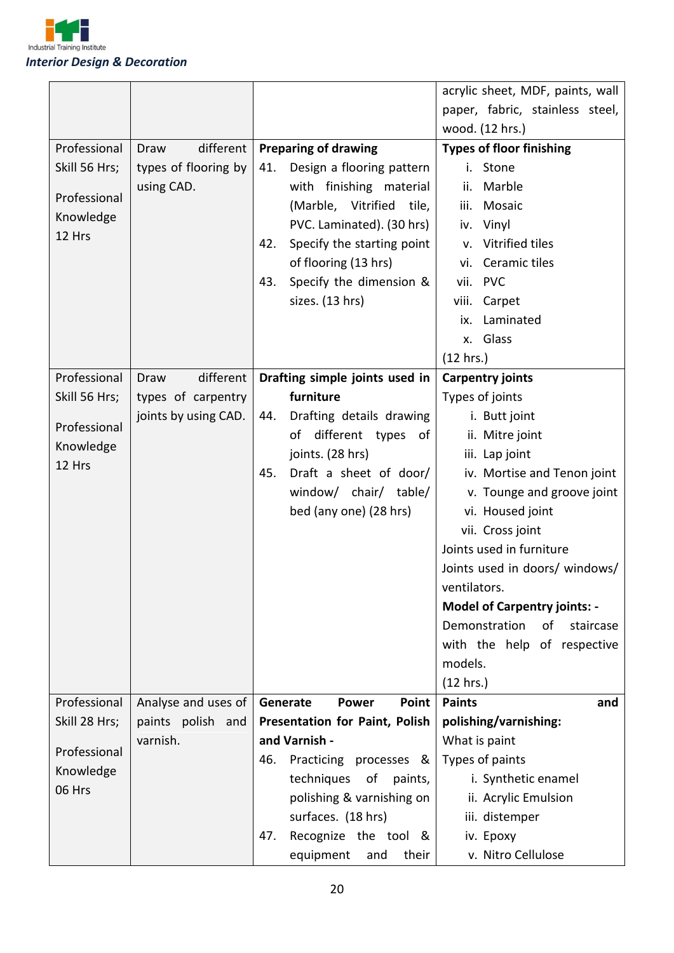

|                     |                      |          |                                       |               | acrylic sheet, MDF, paints, wall    |
|---------------------|----------------------|----------|---------------------------------------|---------------|-------------------------------------|
|                     |                      |          |                                       |               | paper, fabric, stainless steel,     |
|                     |                      |          |                                       |               | wood. (12 hrs.)                     |
| Professional        | different<br>Draw    |          | <b>Preparing of drawing</b>           |               | <b>Types of floor finishing</b>     |
| Skill 56 Hrs;       | types of flooring by | 41.      | Design a flooring pattern             | i.            | Stone                               |
|                     | using CAD.           |          | with finishing material               | ii.           | Marble                              |
| Professional        |                      |          | (Marble, Vitrified<br>tile,           | iii.          | Mosaic                              |
| Knowledge           |                      |          | PVC. Laminated). (30 hrs)             | iv.           | Vinyl                               |
| 12 Hrs              |                      | 42.      | Specify the starting point            | v.            | Vitrified tiles                     |
|                     |                      |          | of flooring (13 hrs)                  | vi.           | Ceramic tiles                       |
|                     |                      | 43.      | Specify the dimension &               | vii.          | <b>PVC</b>                          |
|                     |                      |          | sizes. (13 hrs)                       | viii.         | Carpet                              |
|                     |                      |          |                                       | ix.           | Laminated                           |
|                     |                      |          |                                       | <b>x.</b>     | Glass                               |
|                     |                      |          |                                       | (12 hrs.)     |                                     |
| Professional        | different<br>Draw    |          | Drafting simple joints used in        |               | <b>Carpentry joints</b>             |
| Skill 56 Hrs;       | types of carpentry   |          | furniture                             |               | Types of joints                     |
|                     | joints by using CAD. | 44.      | Drafting details drawing              |               | i. Butt joint                       |
| Professional        |                      |          | different types<br>οf<br>0f           |               | ii. Mitre joint                     |
| Knowledge           |                      |          | joints. (28 hrs)                      |               | iii. Lap joint                      |
| 12 Hrs              |                      | 45.      | Draft a sheet of door/                |               | iv. Mortise and Tenon joint         |
|                     |                      |          | window/ chair/ table/                 |               | v. Tounge and groove joint          |
|                     |                      |          | bed (any one) (28 hrs)                |               | vi. Housed joint                    |
|                     |                      |          |                                       |               | vii. Cross joint                    |
|                     |                      |          |                                       |               | Joints used in furniture            |
|                     |                      |          |                                       |               | Joints used in doors/ windows/      |
|                     |                      |          |                                       | ventilators.  |                                     |
|                     |                      |          |                                       |               | <b>Model of Carpentry joints: -</b> |
|                     |                      |          |                                       |               | Demonstration<br>of<br>staircase    |
|                     |                      |          |                                       |               | with the help of respective         |
|                     |                      |          |                                       | models.       |                                     |
|                     |                      |          |                                       | (12 hrs.)     |                                     |
| Professional        | Analyse and uses of  | Generate | <b>Power</b><br>Point                 | <b>Paints</b> | and                                 |
| Skill 28 Hrs;       | paints polish and    |          | <b>Presentation for Paint, Polish</b> |               | polishing/varnishing:               |
| Professional        | varnish.             |          | and Varnish -                         |               | What is paint                       |
|                     |                      | 46.      | Practicing processes &                |               | Types of paints                     |
| Knowledge<br>06 Hrs |                      |          | techniques of<br>paints,              |               | i. Synthetic enamel                 |
|                     |                      |          | polishing & varnishing on             |               | ii. Acrylic Emulsion                |
|                     |                      |          | surfaces. (18 hrs)                    |               | iii. distemper                      |
|                     |                      | 47.      | Recognize the tool &                  |               | iv. Epoxy                           |
|                     |                      |          | equipment<br>their<br>and             |               | v. Nitro Cellulose                  |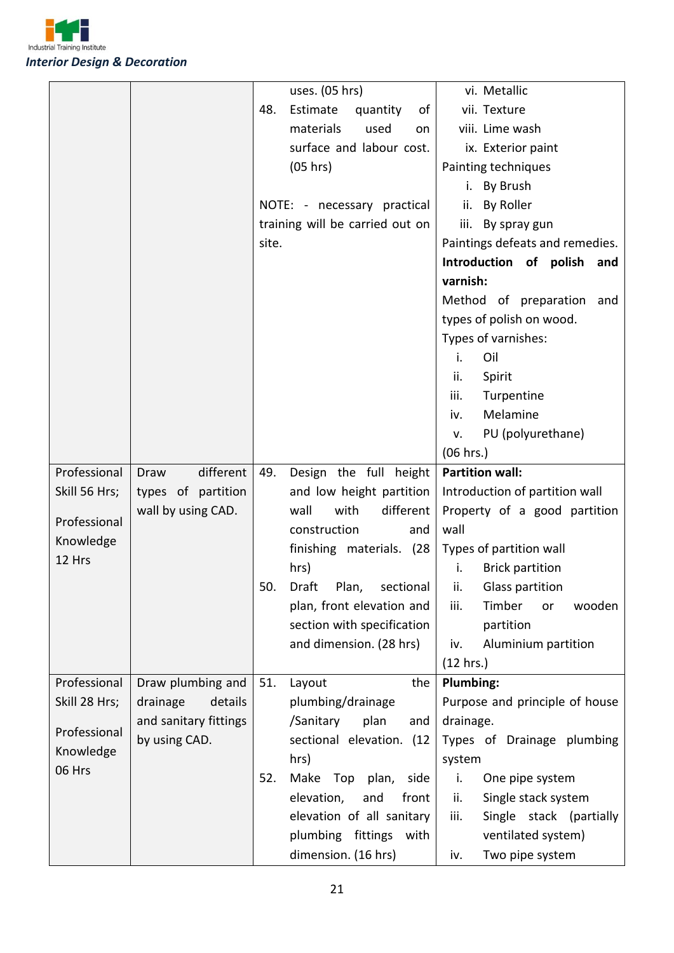

|               |                       |       | uses. (05 hrs)                  | vi. Metallic                    |
|---------------|-----------------------|-------|---------------------------------|---------------------------------|
|               |                       | 48.   | Estimate<br>quantity<br>οf      | vii. Texture                    |
|               |                       |       | materials<br>used<br>on         | viii. Lime wash                 |
|               |                       |       | surface and labour cost.        | ix. Exterior paint              |
|               |                       |       | (05 hrs)                        | Painting techniques             |
|               |                       |       |                                 | By Brush<br>i.                  |
|               |                       |       | NOTE: - necessary practical     | By Roller<br>ii.                |
|               |                       |       | training will be carried out on | iii.<br>By spray gun            |
|               |                       | site. |                                 | Paintings defeats and remedies. |
|               |                       |       |                                 | Introduction of polish and      |
|               |                       |       |                                 | varnish:                        |
|               |                       |       |                                 | Method of preparation and       |
|               |                       |       |                                 | types of polish on wood.        |
|               |                       |       |                                 | Types of varnishes:             |
|               |                       |       |                                 | i.<br>Oil                       |
|               |                       |       |                                 | ii.<br>Spirit                   |
|               |                       |       |                                 | iii.<br>Turpentine              |
|               |                       |       |                                 | Melamine<br>iv.                 |
|               |                       |       |                                 | PU (polyurethane)<br>v.         |
|               |                       |       |                                 | (06 hrs.)                       |
| Professional  | different<br>Draw     | 49.   | Design the full height          | <b>Partition wall:</b>          |
| Skill 56 Hrs; | types of partition    |       | and low height partition        | Introduction of partition wall  |
|               | wall by using CAD.    |       | wall<br>with<br>different       | Property of a good partition    |
| Professional  |                       |       | construction<br>and             | wall                            |
| Knowledge     |                       |       | finishing materials. (28        | Types of partition wall         |
| 12 Hrs        |                       |       | hrs)                            | i.<br><b>Brick partition</b>    |
|               |                       | 50.   | Draft Plan, sectional           | Glass partition<br>ii.          |
|               |                       |       | plan, front elevation and       | Timber<br>iii.<br>wooden<br>or  |
|               |                       |       | section with specification      | partition                       |
|               |                       |       | and dimension. (28 hrs)         | Aluminium partition<br>iv.      |
|               |                       |       |                                 | (12 hrs.)                       |
| Professional  | Draw plumbing and     | 51.   | the<br>Layout                   | Plumbing:                       |
| Skill 28 Hrs; | drainage<br>details   |       | plumbing/drainage               | Purpose and principle of house  |
|               | and sanitary fittings |       | /Sanitary<br>plan<br>and        | drainage.                       |
| Professional  | by using CAD.         |       | sectional elevation. (12        | Types of Drainage plumbing      |
| Knowledge     |                       |       | hrs)                            | system                          |
| 06 Hrs        |                       | 52.   | Make Top plan,<br>side          | i.<br>One pipe system           |
|               |                       |       | elevation,<br>and<br>front      | Single stack system<br>ii.      |
|               |                       |       | elevation of all sanitary       | Single stack (partially<br>iii. |
|               |                       |       | plumbing fittings<br>with       | ventilated system)              |
|               |                       |       | dimension. (16 hrs)             | Two pipe system<br>iv.          |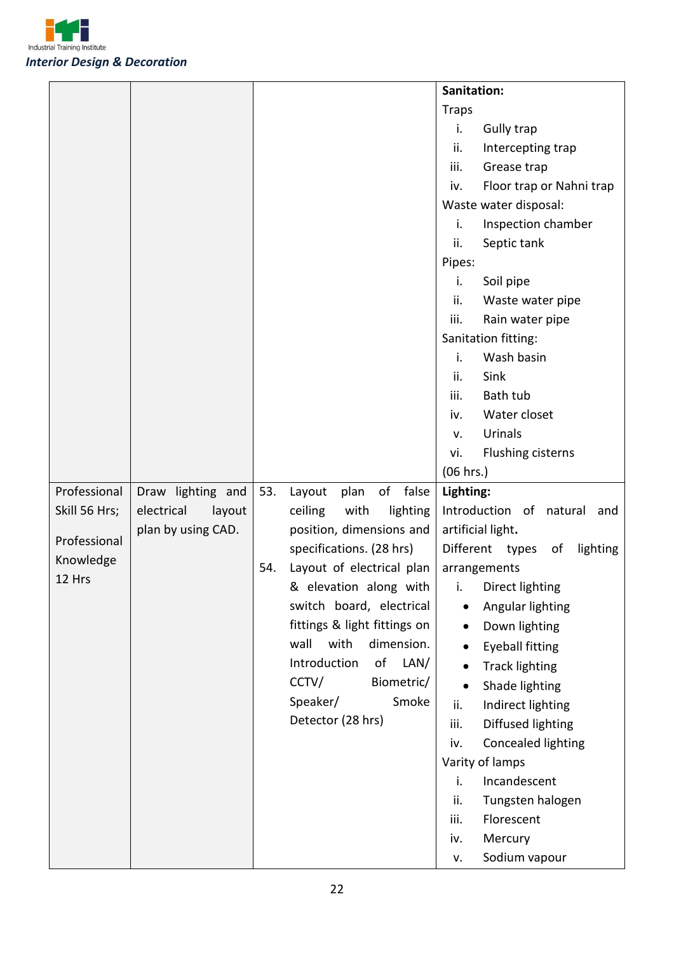

|               |                      |     |                              | Sanitation:                     |
|---------------|----------------------|-----|------------------------------|---------------------------------|
|               |                      |     |                              | <b>Traps</b>                    |
|               |                      |     |                              | <b>Gully trap</b><br>i.         |
|               |                      |     |                              | ii.<br>Intercepting trap        |
|               |                      |     |                              | iii.<br>Grease trap             |
|               |                      |     |                              | Floor trap or Nahni trap<br>iv. |
|               |                      |     |                              | Waste water disposal:           |
|               |                      |     |                              | Inspection chamber<br>i.        |
|               |                      |     |                              | ii.<br>Septic tank              |
|               |                      |     |                              | Pipes:                          |
|               |                      |     |                              | i.<br>Soil pipe                 |
|               |                      |     |                              | Waste water pipe<br>ii.         |
|               |                      |     |                              | iii.<br>Rain water pipe         |
|               |                      |     |                              | Sanitation fitting:             |
|               |                      |     |                              | Wash basin<br>i.                |
|               |                      |     |                              | Sink<br>ii.                     |
|               |                      |     |                              | Bath tub<br>iii.                |
|               |                      |     |                              | Water closet<br>iv.             |
|               |                      |     |                              | Urinals<br>v.                   |
|               |                      |     |                              | Flushing cisterns<br>vi.        |
|               |                      |     |                              | (06 hrs.)                       |
| Professional  | Draw lighting and    | 53. | of false<br>plan<br>Layout   | Lighting:                       |
| Skill 56 Hrs; | electrical<br>layout |     | ceiling<br>with<br>lighting  | Introduction of natural and     |
| Professional  | plan by using CAD.   |     | position, dimensions and     | artificial light.               |
| Knowledge     |                      |     | specifications. (28 hrs)     | Different types of<br>lighting  |
| 12 Hrs        |                      | 54. | Layout of electrical plan    | arrangements                    |
|               |                      |     | & elevation along with       | i. Direct lighting              |
|               |                      |     | switch board, electrical     | Angular lighting                |
|               |                      |     | fittings & light fittings on | Down lighting                   |
|               |                      |     | with<br>dimension.<br>wall   | <b>Eyeball fitting</b>          |
|               |                      |     | Introduction<br>LAN/<br>of   | <b>Track lighting</b>           |
|               |                      |     | CCTV/<br>Biometric/          | Shade lighting                  |
|               |                      |     | Speaker/<br>Smoke            | Indirect lighting<br>ii.        |
|               |                      |     | Detector (28 hrs)            | Diffused lighting<br>iii.       |
|               |                      |     |                              | Concealed lighting<br>iv.       |
|               |                      |     |                              | Varity of lamps                 |
|               |                      |     |                              | Incandescent<br>i.              |
|               |                      |     |                              | Tungsten halogen<br>ii.         |
|               |                      |     |                              | Florescent<br>iii.              |
|               |                      |     |                              | Mercury<br>iv.                  |
|               |                      |     |                              | Sodium vapour<br>v.             |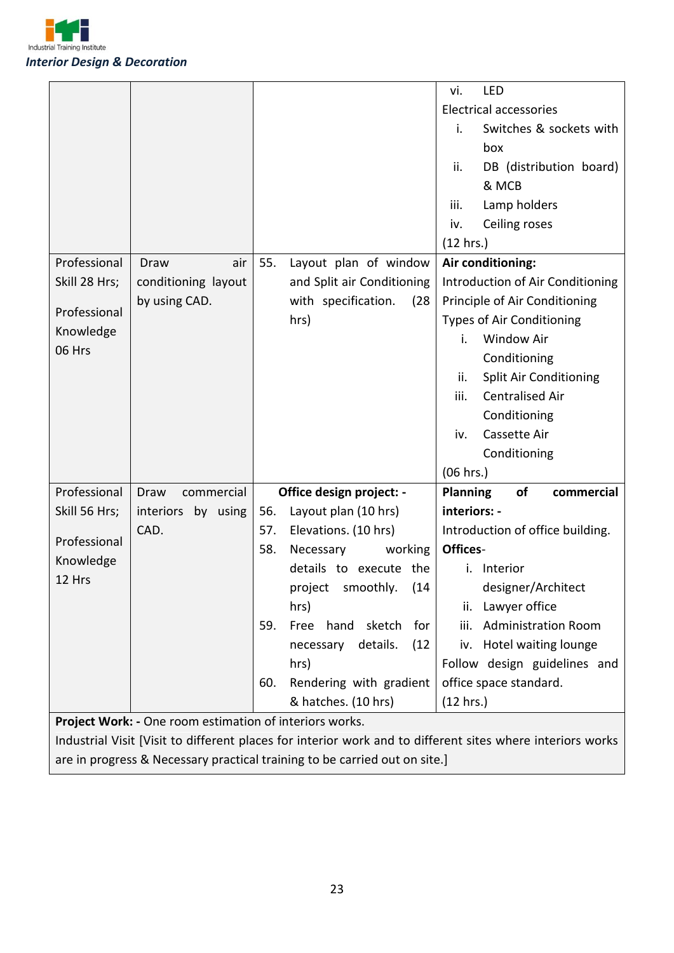

|                                                         |                     |     |                               | LED<br>vi.                           |
|---------------------------------------------------------|---------------------|-----|-------------------------------|--------------------------------------|
|                                                         |                     |     |                               | <b>Electrical accessories</b>        |
|                                                         |                     |     |                               | Switches & sockets with<br>i.        |
|                                                         |                     |     |                               | box                                  |
|                                                         |                     |     |                               | DB (distribution board)<br>ii.       |
|                                                         |                     |     |                               | & MCB                                |
|                                                         |                     |     |                               | Lamp holders<br>iii.                 |
|                                                         |                     |     |                               | Ceiling roses<br>iv.                 |
|                                                         |                     |     |                               | (12 hrs.)                            |
| Professional                                            | Draw<br>air         | 55. | Layout plan of window         | Air conditioning:                    |
| Skill 28 Hrs;                                           | conditioning layout |     | and Split air Conditioning    | Introduction of Air Conditioning     |
|                                                         | by using CAD.       |     | with specification.<br>(28)   | Principle of Air Conditioning        |
| Professional                                            |                     |     | hrs)                          | <b>Types of Air Conditioning</b>     |
| Knowledge                                               |                     |     |                               | <b>Window Air</b><br>i.              |
| 06 Hrs                                                  |                     |     |                               | Conditioning                         |
|                                                         |                     |     |                               | <b>Split Air Conditioning</b><br>ii. |
|                                                         |                     |     |                               | <b>Centralised Air</b><br>iii.       |
|                                                         |                     |     |                               | Conditioning                         |
|                                                         |                     |     |                               | Cassette Air<br>iv.                  |
|                                                         |                     |     |                               | Conditioning                         |
|                                                         |                     |     |                               | (06 hrs.)                            |
| Professional                                            | commercial<br>Draw  |     | Office design project: -      | of<br><b>Planning</b><br>commercial  |
| Skill 56 Hrs;                                           | interiors by using  | 56. | Layout plan (10 hrs)          | interiors: -                         |
|                                                         | CAD.                | 57. | Elevations. (10 hrs)          | Introduction of office building.     |
| Professional                                            |                     | 58. | Necessary<br>working          | Offices-                             |
| Knowledge                                               |                     |     | details to execute the        | i. Interior                          |
| 12 Hrs                                                  |                     |     | project smoothly. (14         | designer/Architect                   |
|                                                         |                     |     | hrs)                          | Lawyer office<br>ii.                 |
|                                                         |                     | 59. | hand<br>Free<br>sketch<br>for | <b>Administration Room</b><br>iii.   |
|                                                         |                     |     | (12)<br>details.<br>necessary | iv. Hotel waiting lounge             |
|                                                         |                     |     | hrs)                          | Follow design guidelines and         |
|                                                         |                     | 60. | Rendering with gradient       | office space standard.               |
|                                                         |                     |     | & hatches. (10 hrs)           | (12 hrs.)                            |
| Project Work: - One room estimation of interiors works. |                     |     |                               |                                      |

Industrial Visit [Visit to different places for interior work and to different sites where interiors works are in progress & Necessary practical training to be carried out on site.]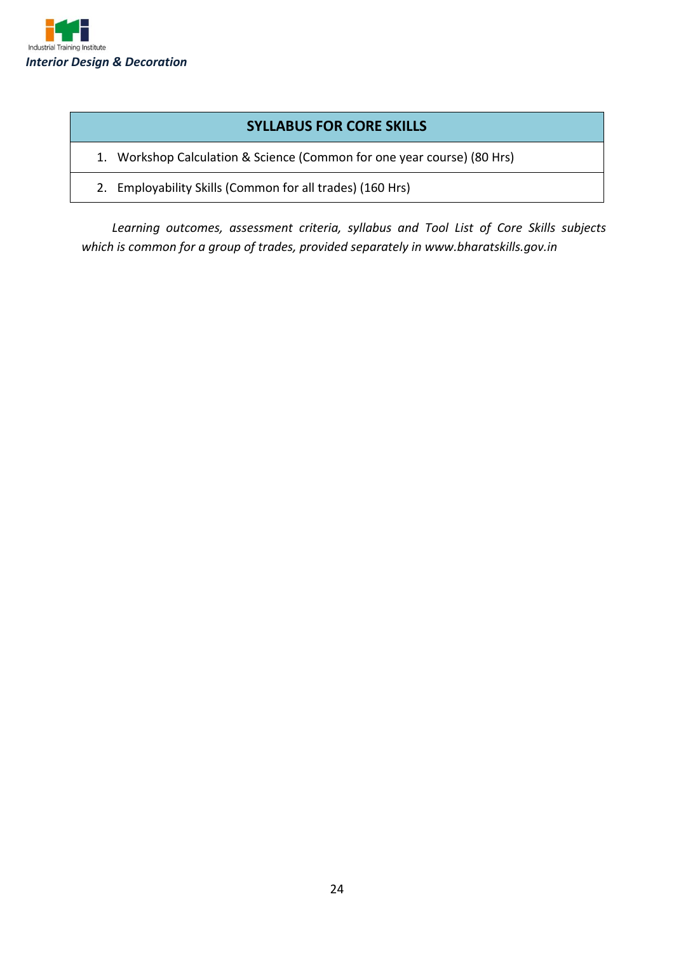

#### **SYLLABUS FOR CORE SKILLS**

1. Workshop Calculation & Science (Common for one year course) (80 Hrs)

2. Employability Skills (Common for all trades) (160 Hrs)

*Learning outcomes, assessment criteria, syllabus and Tool List of Core Skills subjects which is common for a group of trades, provided separately in www.bharatskills.gov.in*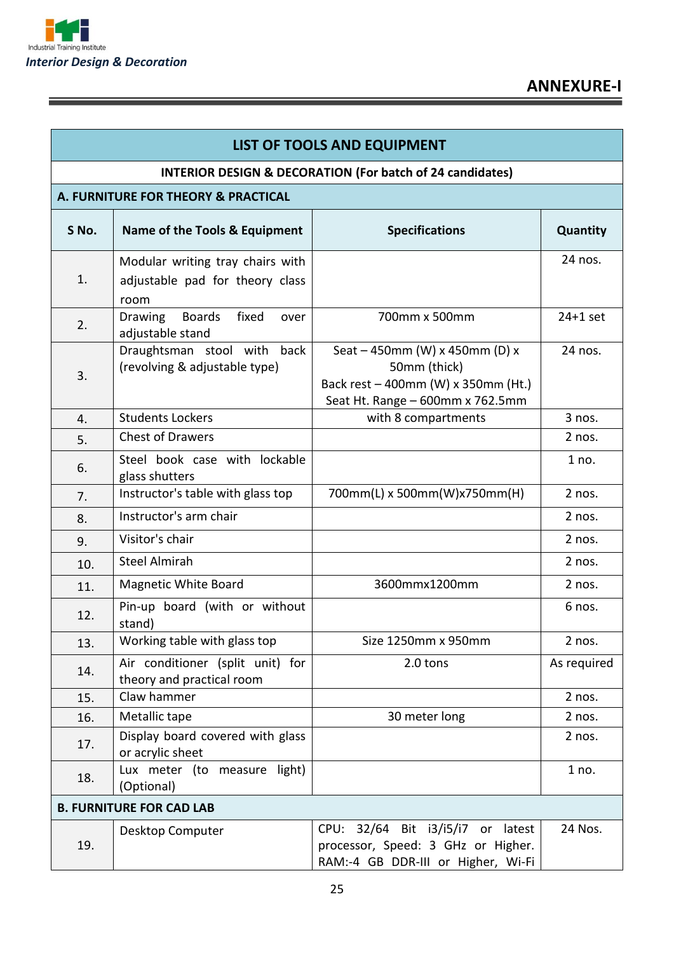

Ξ

| <b>LIST OF TOOLS AND EQUIPMENT</b> |                                                                             |                                                                                                                           |             |  |  |  |  |
|------------------------------------|-----------------------------------------------------------------------------|---------------------------------------------------------------------------------------------------------------------------|-------------|--|--|--|--|
|                                    | <b>INTERIOR DESIGN &amp; DECORATION (For batch of 24 candidates)</b>        |                                                                                                                           |             |  |  |  |  |
|                                    | A. FURNITURE FOR THEORY & PRACTICAL                                         |                                                                                                                           |             |  |  |  |  |
| S No.                              | Name of the Tools & Equipment                                               | <b>Specifications</b>                                                                                                     | Quantity    |  |  |  |  |
| 1.                                 | Modular writing tray chairs with<br>adjustable pad for theory class<br>room |                                                                                                                           | 24 nos.     |  |  |  |  |
| 2.                                 | <b>Boards</b><br>fixed<br>Drawing<br>over<br>adjustable stand               | 700mm x 500mm                                                                                                             | $24+1$ set  |  |  |  |  |
| 3.                                 | Draughtsman stool with<br>back<br>(revolving & adjustable type)             | Seat - 450mm (W) x 450mm (D) x<br>50mm (thick)<br>Back rest - 400mm (W) x 350mm (Ht.)<br>Seat Ht. Range - 600mm x 762.5mm | 24 nos.     |  |  |  |  |
| 4.                                 | <b>Students Lockers</b>                                                     | with 8 compartments                                                                                                       | 3 nos.      |  |  |  |  |
| 5.                                 | <b>Chest of Drawers</b>                                                     |                                                                                                                           | 2 nos.      |  |  |  |  |
| 6.                                 | Steel book case with lockable<br>glass shutters                             |                                                                                                                           | 1 no.       |  |  |  |  |
| 7.                                 | Instructor's table with glass top                                           | 700mm(L) x 500mm(W)x750mm(H)                                                                                              | 2 nos.      |  |  |  |  |
| 8.                                 | Instructor's arm chair                                                      |                                                                                                                           | 2 nos.      |  |  |  |  |
| 9.                                 | Visitor's chair                                                             |                                                                                                                           | 2 nos.      |  |  |  |  |
| 10.                                | <b>Steel Almirah</b>                                                        |                                                                                                                           | 2 nos.      |  |  |  |  |
| 11.                                | Magnetic White Board                                                        | 3600mmx1200mm                                                                                                             | 2 nos.      |  |  |  |  |
| 12.                                | Pin-up board (with or without<br>stand)                                     |                                                                                                                           | 6 nos.      |  |  |  |  |
| 13.                                | Working table with glass top                                                | Size 1250mm x 950mm                                                                                                       | 2 nos.      |  |  |  |  |
| 14.                                | Air conditioner (split unit) for<br>theory and practical room               | 2.0 tons                                                                                                                  | As required |  |  |  |  |
| 15.                                | Claw hammer                                                                 |                                                                                                                           | 2 nos.      |  |  |  |  |
| 16.                                | Metallic tape                                                               | 30 meter long                                                                                                             | 2 nos.      |  |  |  |  |
| 17.                                | Display board covered with glass<br>or acrylic sheet                        |                                                                                                                           | 2 nos.      |  |  |  |  |
| 18.                                | Lux meter (to measure light)<br>(Optional)                                  |                                                                                                                           | 1 no.       |  |  |  |  |
|                                    | <b>B. FURNITURE FOR CAD LAB</b>                                             |                                                                                                                           |             |  |  |  |  |
| 19.                                | Desktop Computer                                                            | CPU: 32/64 Bit i3/i5/i7 or latest<br>processor, Speed: 3 GHz or Higher.<br>RAM:-4 GB DDR-III or Higher, Wi-Fi             | 24 Nos.     |  |  |  |  |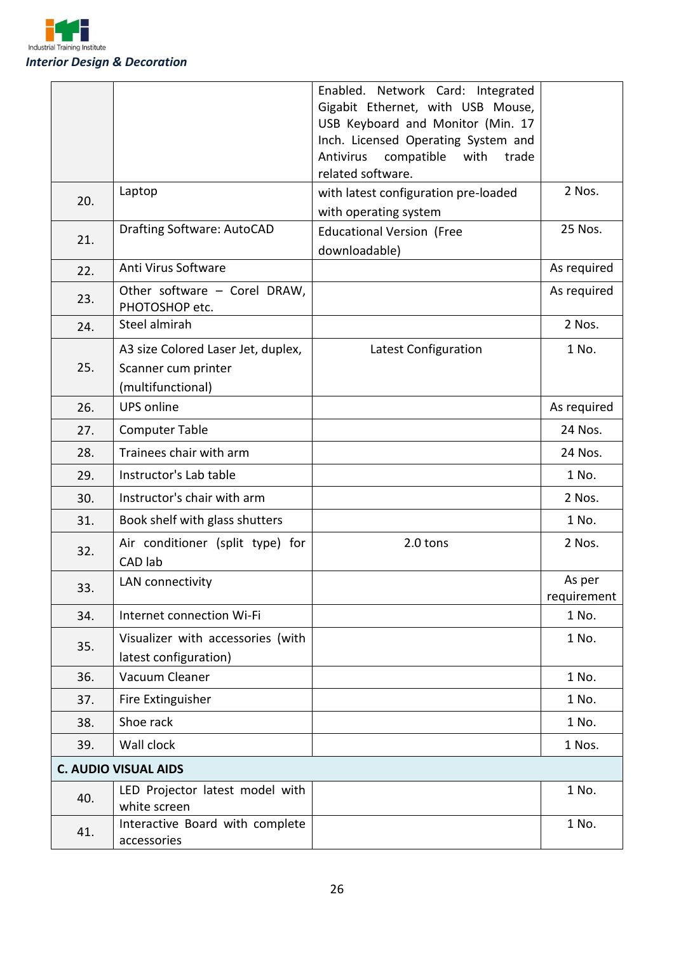

|     |                                                            | Enabled. Network Card: Integrated                                        |                      |
|-----|------------------------------------------------------------|--------------------------------------------------------------------------|----------------------|
|     |                                                            | Gigabit Ethernet, with USB Mouse,                                        |                      |
|     |                                                            | USB Keyboard and Monitor (Min. 17<br>Inch. Licensed Operating System and |                      |
|     |                                                            | Antivirus<br>compatible<br>with<br>trade                                 |                      |
|     |                                                            | related software.                                                        |                      |
| 20. | Laptop                                                     | with latest configuration pre-loaded                                     | 2 Nos.               |
|     |                                                            | with operating system                                                    |                      |
| 21. | <b>Drafting Software: AutoCAD</b>                          | <b>Educational Version (Free</b>                                         | 25 Nos.              |
|     |                                                            | downloadable)                                                            |                      |
| 22. | Anti Virus Software                                        |                                                                          | As required          |
| 23. | Other software - Corel DRAW,<br>PHOTOSHOP etc.             |                                                                          | As required          |
| 24. | Steel almirah                                              |                                                                          | 2 Nos.               |
|     | A3 size Colored Laser Jet, duplex,                         | Latest Configuration                                                     | 1 No.                |
| 25. | Scanner cum printer                                        |                                                                          |                      |
|     | (multifunctional)                                          |                                                                          |                      |
| 26. | <b>UPS online</b>                                          |                                                                          | As required          |
| 27. | <b>Computer Table</b>                                      |                                                                          | 24 Nos.              |
| 28. | Trainees chair with arm                                    |                                                                          | 24 Nos.              |
| 29. | Instructor's Lab table                                     |                                                                          | 1 No.                |
| 30. | Instructor's chair with arm                                |                                                                          | 2 Nos.               |
| 31. | Book shelf with glass shutters                             |                                                                          | 1 No.                |
| 32. | Air conditioner (split type) for                           | 2.0 tons                                                                 | 2 Nos.               |
|     | CAD lab                                                    |                                                                          |                      |
| 33. | LAN connectivity                                           |                                                                          | As per               |
| 34. | Internet connection Wi-Fi                                  |                                                                          | requirement<br>1 No. |
|     |                                                            |                                                                          |                      |
| 35. | Visualizer with accessories (with<br>latest configuration) |                                                                          | 1 No.                |
| 36. | Vacuum Cleaner                                             |                                                                          | 1 No.                |
| 37. | Fire Extinguisher                                          |                                                                          | 1 No.                |
| 38. | Shoe rack                                                  |                                                                          | 1 No.                |
| 39. | Wall clock                                                 |                                                                          | 1 Nos.               |
|     | <b>C. AUDIO VISUAL AIDS</b>                                |                                                                          |                      |
| 40. | LED Projector latest model with<br>white screen            |                                                                          | 1 No.                |
|     | Interactive Board with complete                            |                                                                          | 1 No.                |
| 41. | accessories                                                |                                                                          |                      |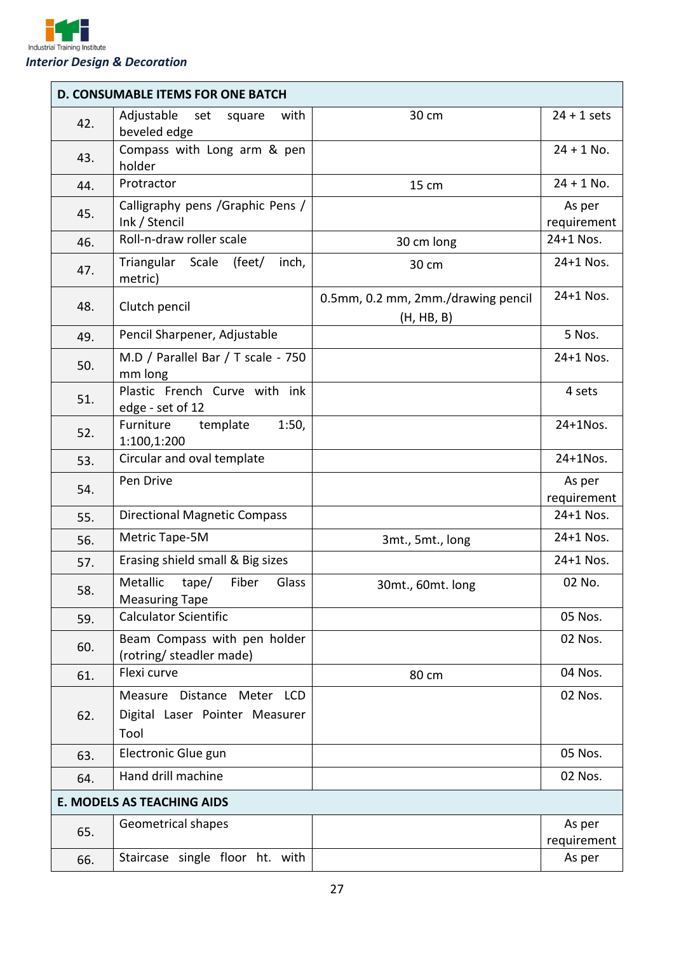

|     | <b>D. CONSUMABLE ITEMS FOR ONE BATCH</b>                             |                                                  |                       |
|-----|----------------------------------------------------------------------|--------------------------------------------------|-----------------------|
| 42. | Adjustable<br>with<br>set<br>square<br>beveled edge                  | 30 cm                                            | $24 + 1$ sets         |
| 43. | Compass with Long arm & pen<br>holder                                |                                                  | $24 + 1$ No.          |
| 44. | Protractor                                                           | 15 cm                                            | $24 + 1$ No.          |
| 45. | Calligraphy pens / Graphic Pens /<br>Ink / Stencil                   |                                                  | As per<br>requirement |
| 46. | Roll-n-draw roller scale                                             | 30 cm long                                       | 24+1 Nos.             |
| 47. | Triangular Scale<br>(feet/<br>inch,<br>metric)                       | 30 cm                                            | 24+1 Nos.             |
| 48. | Clutch pencil                                                        | 0.5mm, 0.2 mm, 2mm./drawing pencil<br>(H, HB, B) | 24+1 Nos.             |
| 49. | Pencil Sharpener, Adjustable                                         |                                                  | 5 Nos.                |
| 50. | M.D / Parallel Bar / T scale - 750<br>mm long                        |                                                  | 24+1 Nos.             |
| 51. | Plastic French Curve with ink<br>edge - set of 12                    |                                                  | 4 sets                |
| 52. | Furniture<br>template<br>1:50,<br>1:100,1:200                        |                                                  | $24+1$ Nos.           |
| 53. | Circular and oval template                                           |                                                  | 24+1Nos.              |
| 54. | Pen Drive                                                            |                                                  | As per<br>requirement |
| 55. | <b>Directional Magnetic Compass</b>                                  |                                                  | 24+1 Nos.             |
| 56. | Metric Tape-5M                                                       | 3mt., 5mt., long                                 | 24+1 Nos.             |
| 57. | Erasing shield small & Big sizes                                     |                                                  | 24+1 Nos.             |
| 58. | Metallic<br>Fiber<br>Glass<br>tape/<br><b>Measuring Tape</b>         | 30mt., 60mt. long                                | 02 No.                |
| 59. | <b>Calculator Scientific</b>                                         |                                                  | 05 Nos.               |
| 60. | Beam Compass with pen holder<br>(rotring/ steadler made)             |                                                  | 02 Nos.               |
| 61. | Flexi curve                                                          | 80 cm                                            | 04 Nos.               |
| 62. | Measure Distance Meter LCD<br>Digital Laser Pointer Measurer<br>Tool |                                                  | 02 Nos.               |
| 63. | Electronic Glue gun                                                  |                                                  | 05 Nos.               |
| 64. | Hand drill machine                                                   |                                                  | 02 Nos.               |
|     | <b>E. MODELS AS TEACHING AIDS</b>                                    |                                                  |                       |
| 65. | Geometrical shapes                                                   |                                                  | As per<br>requirement |
| 66. | Staircase single floor ht. with                                      |                                                  | As per                |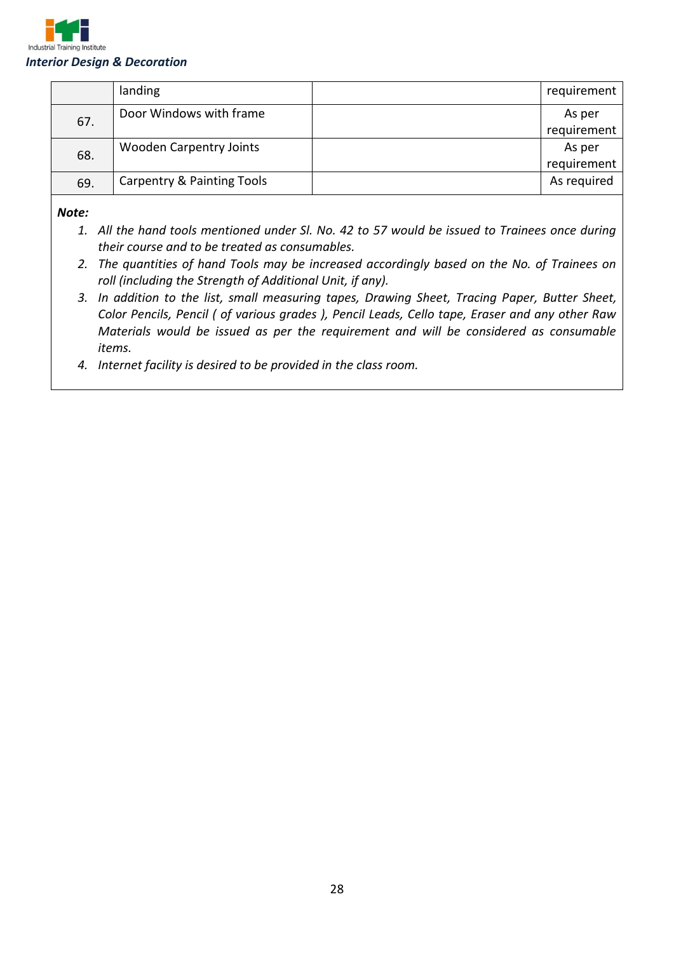

|     | landing                               | requirement |
|-----|---------------------------------------|-------------|
| 67. | Door Windows with frame               | As per      |
|     |                                       | requirement |
| 68. | <b>Wooden Carpentry Joints</b>        | As per      |
|     |                                       | requirement |
| 69. | <b>Carpentry &amp; Painting Tools</b> | As required |

*Note:*

- *1. All the hand tools mentioned under Sl. No. 42 to 57 would be issued to Trainees once during their course and to be treated as consumables.*
- *2. The quantities of hand Tools may be increased accordingly based on the No. of Trainees on roll (including the Strength of Additional Unit, if any).*
- *3. In addition to the list, small measuring tapes, Drawing Sheet, Tracing Paper, Butter Sheet, Color Pencils, Pencil ( of various grades ), Pencil Leads, Cello tape, Eraser and any other Raw Materials would be issued as per the requirement and will be considered as consumable items.*
- *4. Internet facility is desired to be provided in the class room.*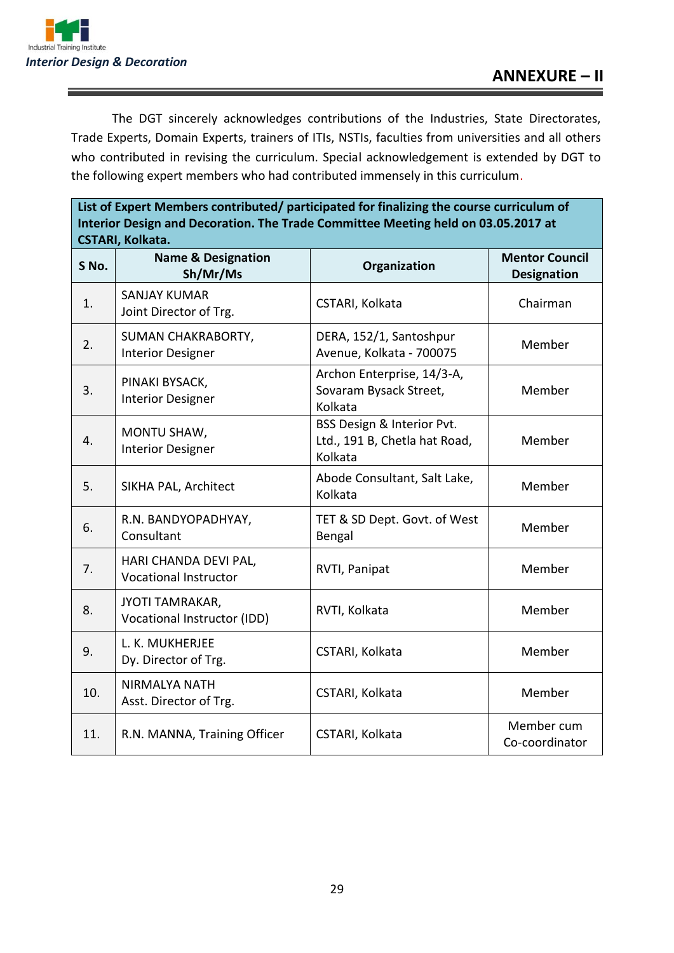

The DGT sincerely acknowledges contributions of the Industries, State Directorates, Trade Experts, Domain Experts, trainers of ITIs, NSTIs, faculties from universities and all others who contributed in revising the curriculum. Special acknowledgement is extended by DGT to the following expert members who had contributed immensely in this curriculum.

**List of Expert Members contributed/ participated for finalizing the course curriculum of Interior Design and Decoration. The Trade Committee Meeting held on 03.05.2017 at CSTARI, Kolkata.**

| S No. | CJTANI, NUINALA.<br><b>Name &amp; Designation</b>         | Organization                                                           | <b>Mentor Council</b>          |
|-------|-----------------------------------------------------------|------------------------------------------------------------------------|--------------------------------|
| 1.    | Sh/Mr/Ms<br><b>SANJAY KUMAR</b><br>Joint Director of Trg. | CSTARI, Kolkata                                                        | <b>Designation</b><br>Chairman |
| 2.    | SUMAN CHAKRABORTY,<br><b>Interior Designer</b>            | DERA, 152/1, Santoshpur<br>Avenue, Kolkata - 700075                    | Member                         |
| 3.    | PINAKI BYSACK,<br><b>Interior Designer</b>                | Archon Enterprise, 14/3-A,<br>Sovaram Bysack Street,<br>Kolkata        | Member                         |
| 4.    | MONTU SHAW,<br><b>Interior Designer</b>                   | BSS Design & Interior Pvt.<br>Ltd., 191 B, Chetla hat Road,<br>Kolkata | Member                         |
| 5.    | SIKHA PAL, Architect                                      | Abode Consultant, Salt Lake,<br>Kolkata                                | Member                         |
| 6.    | R.N. BANDYOPADHYAY,<br>Consultant                         | TET & SD Dept. Govt. of West<br>Bengal                                 | Member                         |
| 7.    | HARI CHANDA DEVI PAL,<br><b>Vocational Instructor</b>     | RVTI, Panipat                                                          | Member                         |
| 8.    | JYOTI TAMRAKAR,<br><b>Vocational Instructor (IDD)</b>     | RVTI, Kolkata                                                          | Member                         |
| 9.    | L. K. MUKHERJEE<br>Dy. Director of Trg.                   | CSTARI, Kolkata                                                        | Member                         |
| 10.   | <b>NIRMALYA NATH</b><br>Asst. Director of Trg.            | CSTARI, Kolkata                                                        | Member                         |
| 11.   | R.N. MANNA, Training Officer                              | CSTARI, Kolkata                                                        | Member cum<br>Co-coordinator   |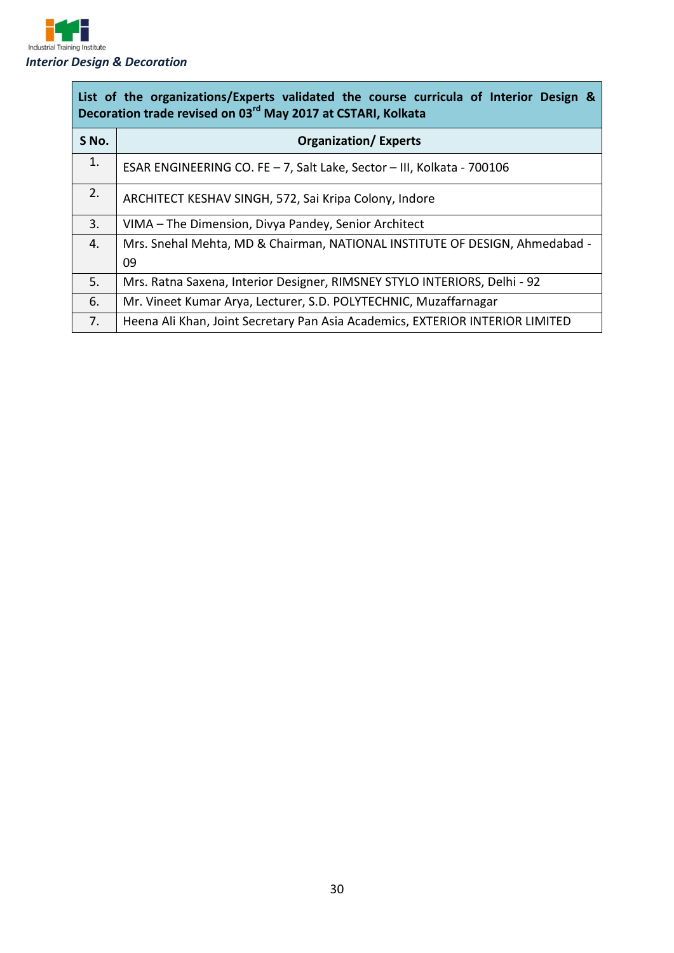

| List of the organizations/Experts validated the course curricula of Interior Design &<br>Decoration trade revised on 03 <sup>rd</sup> May 2017 at CSTARI, Kolkata |                                                                               |  |
|-------------------------------------------------------------------------------------------------------------------------------------------------------------------|-------------------------------------------------------------------------------|--|
| S No.                                                                                                                                                             | <b>Organization/Experts</b>                                                   |  |
| 1.                                                                                                                                                                | ESAR ENGINEERING CO. FE - 7, Salt Lake, Sector - III, Kolkata - 700106        |  |
| 2.                                                                                                                                                                | ARCHITECT KESHAV SINGH, 572, Sai Kripa Colony, Indore                         |  |
| 3.                                                                                                                                                                | VIMA - The Dimension, Divya Pandey, Senior Architect                          |  |
| 4.                                                                                                                                                                | Mrs. Snehal Mehta, MD & Chairman, NATIONAL INSTITUTE OF DESIGN, Ahmedabad -   |  |
|                                                                                                                                                                   | 09                                                                            |  |
| 5.                                                                                                                                                                | Mrs. Ratna Saxena, Interior Designer, RIMSNEY STYLO INTERIORS, Delhi - 92     |  |
| 6.                                                                                                                                                                | Mr. Vineet Kumar Arya, Lecturer, S.D. POLYTECHNIC, Muzaffarnagar              |  |
| 7.                                                                                                                                                                | Heena Ali Khan, Joint Secretary Pan Asia Academics, EXTERIOR INTERIOR LIMITED |  |

 $\overline{\phantom{a}}$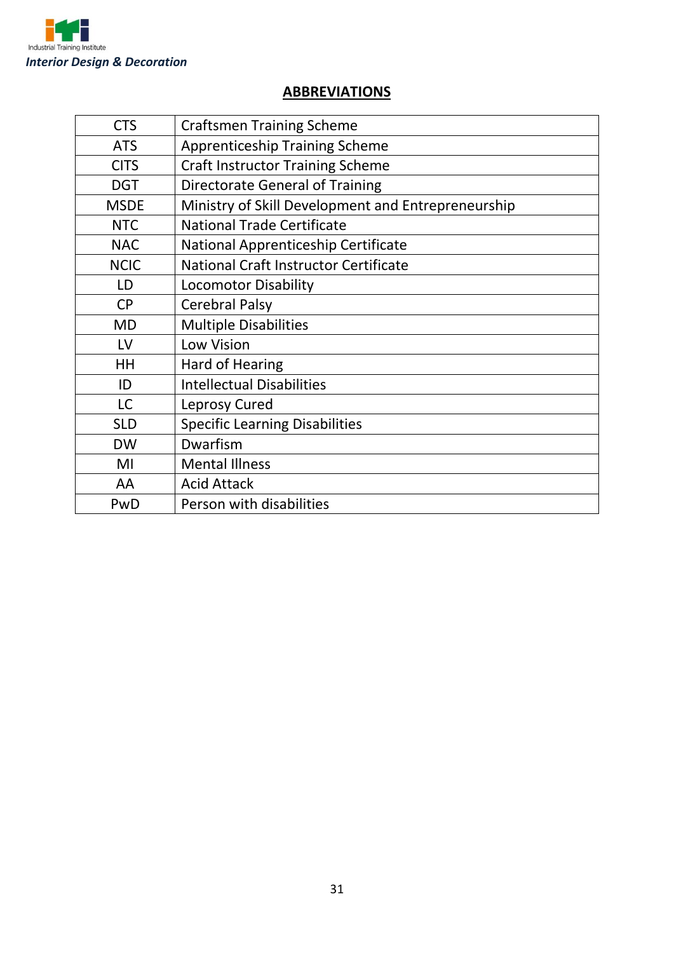

#### **ABBREVIATIONS**

| <b>CTS</b>  | <b>Craftsmen Training Scheme</b>                   |
|-------------|----------------------------------------------------|
| <b>ATS</b>  | <b>Apprenticeship Training Scheme</b>              |
| <b>CITS</b> | <b>Craft Instructor Training Scheme</b>            |
| <b>DGT</b>  | Directorate General of Training                    |
| <b>MSDE</b> | Ministry of Skill Development and Entrepreneurship |
| <b>NTC</b>  | <b>National Trade Certificate</b>                  |
| <b>NAC</b>  | National Apprenticeship Certificate                |
| <b>NCIC</b> | National Craft Instructor Certificate              |
| LD          | <b>Locomotor Disability</b>                        |
| <b>CP</b>   | <b>Cerebral Palsy</b>                              |
| <b>MD</b>   | <b>Multiple Disabilities</b>                       |
| LV          | Low Vision                                         |
| HH          | Hard of Hearing                                    |
| ID          | <b>Intellectual Disabilities</b>                   |
| <b>LC</b>   | Leprosy Cured                                      |
| <b>SLD</b>  | <b>Specific Learning Disabilities</b>              |
| <b>DW</b>   | Dwarfism                                           |
| MI          | <b>Mental Illness</b>                              |
| AA          | <b>Acid Attack</b>                                 |
| PwD         | Person with disabilities                           |